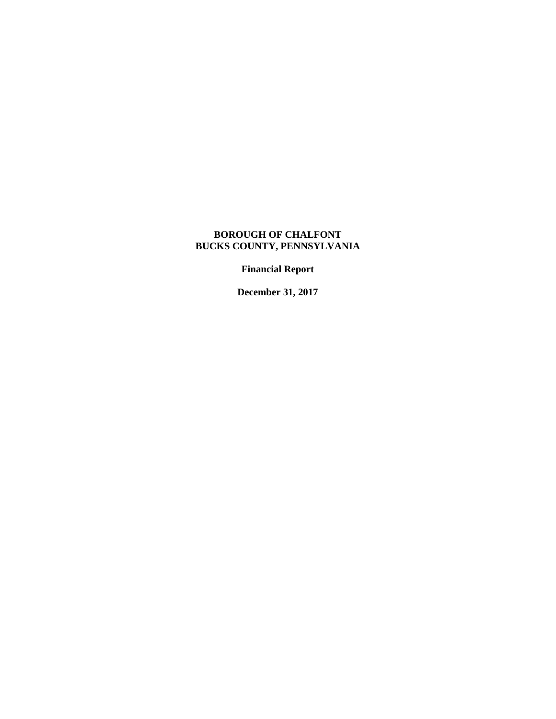# **BOROUGH OF CHALFONT BUCKS COUNTY, PENNSYLVANIA**

**Financial Report** 

**December 31, 2017**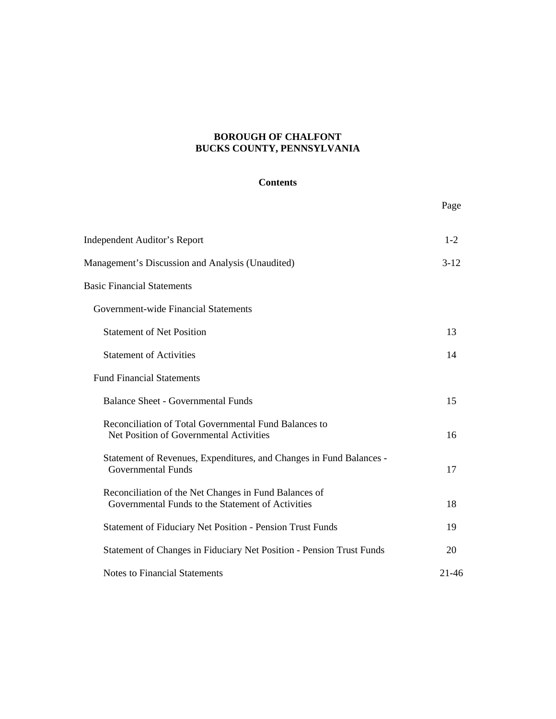# **BOROUGH OF CHALFONT BUCKS COUNTY, PENNSYLVANIA**

#### **Contents**

|                                                                                                            | Page    |
|------------------------------------------------------------------------------------------------------------|---------|
| <b>Independent Auditor's Report</b>                                                                        | $1 - 2$ |
| Management's Discussion and Analysis (Unaudited)                                                           | $3-12$  |
| <b>Basic Financial Statements</b>                                                                          |         |
| Government-wide Financial Statements                                                                       |         |
| <b>Statement of Net Position</b>                                                                           | 13      |
| <b>Statement of Activities</b>                                                                             | 14      |
| <b>Fund Financial Statements</b>                                                                           |         |
| <b>Balance Sheet - Governmental Funds</b>                                                                  | 15      |
| Reconciliation of Total Governmental Fund Balances to<br>Net Position of Governmental Activities           | 16      |
| Statement of Revenues, Expenditures, and Changes in Fund Balances -<br><b>Governmental Funds</b>           | 17      |
| Reconciliation of the Net Changes in Fund Balances of<br>Governmental Funds to the Statement of Activities | 18      |
| <b>Statement of Fiduciary Net Position - Pension Trust Funds</b>                                           | 19      |
| Statement of Changes in Fiduciary Net Position - Pension Trust Funds                                       | 20      |
| <b>Notes to Financial Statements</b>                                                                       | 21-46   |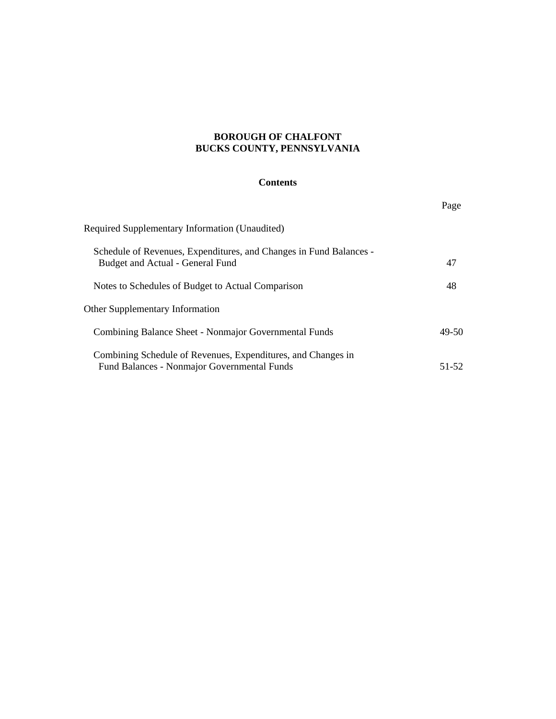# **BOROUGH OF CHALFONT BUCKS COUNTY, PENNSYLVANIA**

## **Contents**

|                                                                                                                    | Page  |
|--------------------------------------------------------------------------------------------------------------------|-------|
| <b>Required Supplementary Information (Unaudited)</b>                                                              |       |
| Schedule of Revenues, Expenditures, and Changes in Fund Balances -<br>Budget and Actual - General Fund             | 47    |
| Notes to Schedules of Budget to Actual Comparison                                                                  | 48    |
| <b>Other Supplementary Information</b>                                                                             |       |
| Combining Balance Sheet - Nonmajor Governmental Funds                                                              | 49-50 |
| Combining Schedule of Revenues, Expenditures, and Changes in<br><b>Fund Balances - Nonmajor Governmental Funds</b> | 51-52 |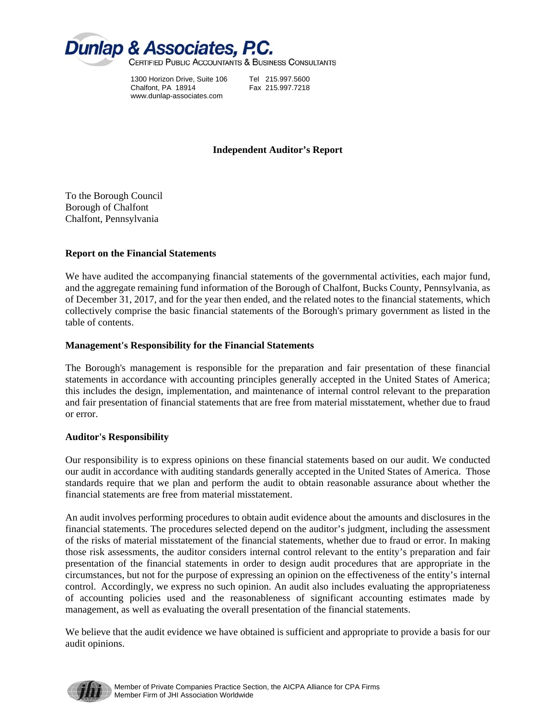

1300 Horizon Drive, Suite 106 Tel 215.997.5600 Chalfont, PA 18914 Fax 215.997.7218 www.dunlap-associates.com

## **Independent Auditor's Report**

To the Borough Council Borough of Chalfont Chalfont, Pennsylvania

#### **Report on the Financial Statements**

We have audited the accompanying financial statements of the governmental activities, each major fund, and the aggregate remaining fund information of the Borough of Chalfont, Bucks County, Pennsylvania, as of December 31, 2017, and for the year then ended, and the related notes to the financial statements, which collectively comprise the basic financial statements of the Borough's primary government as listed in the table of contents.

#### **Management's Responsibility for the Financial Statements**

The Borough's management is responsible for the preparation and fair presentation of these financial statements in accordance with accounting principles generally accepted in the United States of America; this includes the design, implementation, and maintenance of internal control relevant to the preparation and fair presentation of financial statements that are free from material misstatement, whether due to fraud or error.

## **Auditor's Responsibility**

Our responsibility is to express opinions on these financial statements based on our audit. We conducted our audit in accordance with auditing standards generally accepted in the United States of America. Those standards require that we plan and perform the audit to obtain reasonable assurance about whether the financial statements are free from material misstatement.

An audit involves performing procedures to obtain audit evidence about the amounts and disclosures in the financial statements. The procedures selected depend on the auditor's judgment, including the assessment of the risks of material misstatement of the financial statements, whether due to fraud or error. In making those risk assessments, the auditor considers internal control relevant to the entity's preparation and fair presentation of the financial statements in order to design audit procedures that are appropriate in the circumstances, but not for the purpose of expressing an opinion on the effectiveness of the entity's internal control. Accordingly, we express no such opinion. An audit also includes evaluating the appropriateness of accounting policies used and the reasonableness of significant accounting estimates made by management, as well as evaluating the overall presentation of the financial statements.

We believe that the audit evidence we have obtained is sufficient and appropriate to provide a basis for our audit opinions.

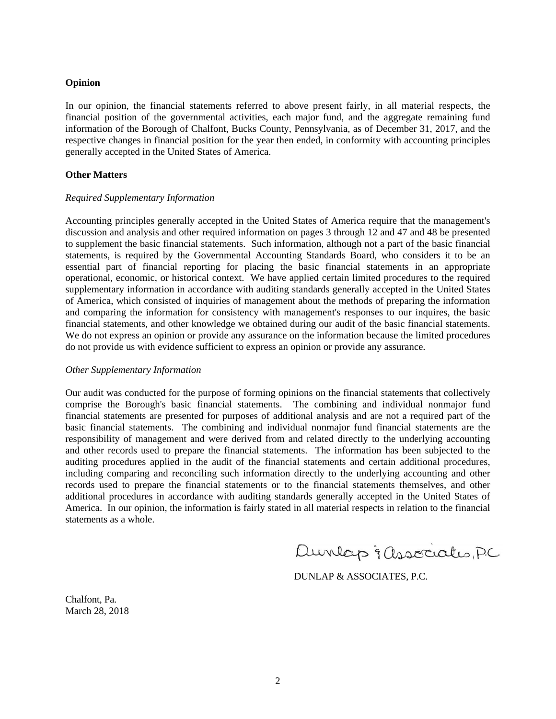#### **Opinion**

In our opinion, the financial statements referred to above present fairly, in all material respects, the financial position of the governmental activities, each major fund, and the aggregate remaining fund information of the Borough of Chalfont, Bucks County, Pennsylvania, as of December 31, 2017, and the respective changes in financial position for the year then ended, in conformity with accounting principles generally accepted in the United States of America.

### **Other Matters**

#### *Required Supplementary Information*

Accounting principles generally accepted in the United States of America require that the management's discussion and analysis and other required information on pages 3 through 12 and 47 and 48 be presented to supplement the basic financial statements. Such information, although not a part of the basic financial statements, is required by the Governmental Accounting Standards Board, who considers it to be an essential part of financial reporting for placing the basic financial statements in an appropriate operational, economic, or historical context. We have applied certain limited procedures to the required supplementary information in accordance with auditing standards generally accepted in the United States of America, which consisted of inquiries of management about the methods of preparing the information and comparing the information for consistency with management's responses to our inquires, the basic financial statements, and other knowledge we obtained during our audit of the basic financial statements. We do not express an opinion or provide any assurance on the information because the limited procedures do not provide us with evidence sufficient to express an opinion or provide any assurance.

#### *Other Supplementary Information*

Our audit was conducted for the purpose of forming opinions on the financial statements that collectively comprise the Borough's basic financial statements. The combining and individual nonmajor fund financial statements are presented for purposes of additional analysis and are not a required part of the basic financial statements. The combining and individual nonmajor fund financial statements are the responsibility of management and were derived from and related directly to the underlying accounting and other records used to prepare the financial statements. The information has been subjected to the auditing procedures applied in the audit of the financial statements and certain additional procedures, including comparing and reconciling such information directly to the underlying accounting and other records used to prepare the financial statements or to the financial statements themselves, and other additional procedures in accordance with auditing standards generally accepted in the United States of America. In our opinion, the information is fairly stated in all material respects in relation to the financial statements as a whole.

Dunlap & associates, PC

DUNLAP & ASSOCIATES, P.C.

Chalfont, Pa. March 28, 2018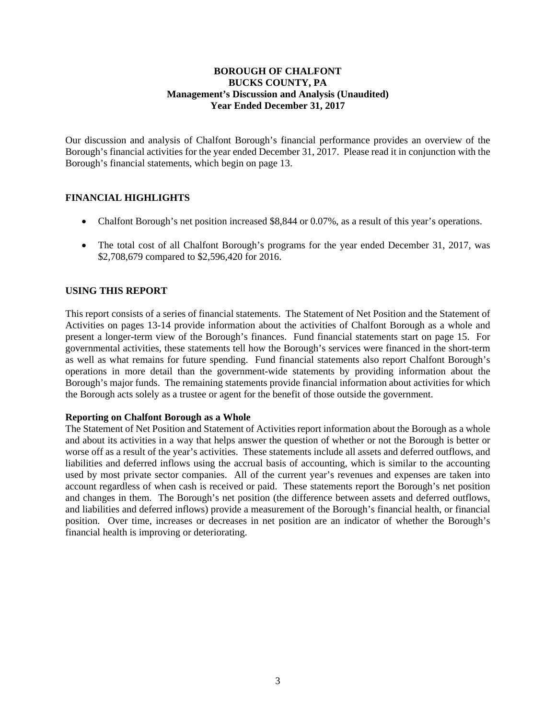Our discussion and analysis of Chalfont Borough's financial performance provides an overview of the Borough's financial activities for the year ended December 31, 2017. Please read it in conjunction with the Borough's financial statements, which begin on page 13.

## **FINANCIAL HIGHLIGHTS**

- Chalfont Borough's net position increased \$8,844 or 0.07%, as a result of this year's operations.
- The total cost of all Chalfont Borough's programs for the year ended December 31, 2017, was \$2,708,679 compared to \$2,596,420 for 2016.

#### **USING THIS REPORT**

This report consists of a series of financial statements. The Statement of Net Position and the Statement of Activities on pages 13-14 provide information about the activities of Chalfont Borough as a whole and present a longer-term view of the Borough's finances. Fund financial statements start on page 15. For governmental activities, these statements tell how the Borough's services were financed in the short-term as well as what remains for future spending. Fund financial statements also report Chalfont Borough's operations in more detail than the government-wide statements by providing information about the Borough's major funds. The remaining statements provide financial information about activities for which the Borough acts solely as a trustee or agent for the benefit of those outside the government.

#### **Reporting on Chalfont Borough as a Whole**

The Statement of Net Position and Statement of Activities report information about the Borough as a whole and about its activities in a way that helps answer the question of whether or not the Borough is better or worse off as a result of the year's activities. These statements include all assets and deferred outflows, and liabilities and deferred inflows using the accrual basis of accounting, which is similar to the accounting used by most private sector companies. All of the current year's revenues and expenses are taken into account regardless of when cash is received or paid. These statements report the Borough's net position and changes in them. The Borough's net position (the difference between assets and deferred outflows, and liabilities and deferred inflows) provide a measurement of the Borough's financial health, or financial position. Over time, increases or decreases in net position are an indicator of whether the Borough's financial health is improving or deteriorating.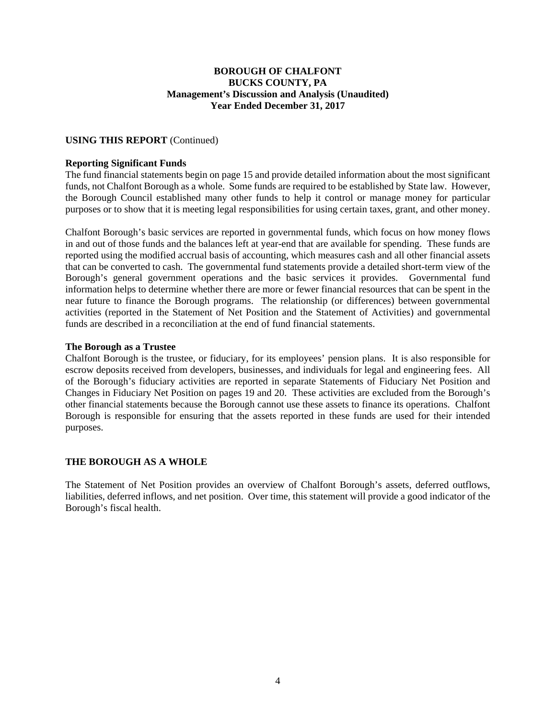### **USING THIS REPORT** (Continued)

#### **Reporting Significant Funds**

The fund financial statements begin on page 15 and provide detailed information about the most significant funds, not Chalfont Borough as a whole. Some funds are required to be established by State law. However, the Borough Council established many other funds to help it control or manage money for particular purposes or to show that it is meeting legal responsibilities for using certain taxes, grant, and other money.

Chalfont Borough's basic services are reported in governmental funds, which focus on how money flows in and out of those funds and the balances left at year-end that are available for spending. These funds are reported using the modified accrual basis of accounting, which measures cash and all other financial assets that can be converted to cash. The governmental fund statements provide a detailed short-term view of the Borough's general government operations and the basic services it provides. Governmental fund information helps to determine whether there are more or fewer financial resources that can be spent in the near future to finance the Borough programs. The relationship (or differences) between governmental activities (reported in the Statement of Net Position and the Statement of Activities) and governmental funds are described in a reconciliation at the end of fund financial statements.

#### **The Borough as a Trustee**

Chalfont Borough is the trustee, or fiduciary, for its employees' pension plans. It is also responsible for escrow deposits received from developers, businesses, and individuals for legal and engineering fees. All of the Borough's fiduciary activities are reported in separate Statements of Fiduciary Net Position and Changes in Fiduciary Net Position on pages 19 and 20. These activities are excluded from the Borough's other financial statements because the Borough cannot use these assets to finance its operations. Chalfont Borough is responsible for ensuring that the assets reported in these funds are used for their intended purposes.

## **THE BOROUGH AS A WHOLE**

The Statement of Net Position provides an overview of Chalfont Borough's assets, deferred outflows, liabilities, deferred inflows, and net position. Over time, this statement will provide a good indicator of the Borough's fiscal health.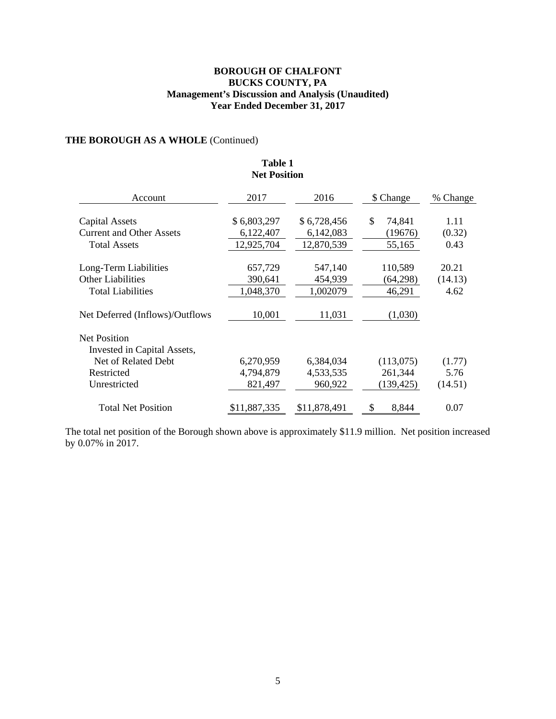## **THE BOROUGH AS A WHOLE** (Continued)

| <b>Net Position</b>             |              |              |              |          |  |  |  |
|---------------------------------|--------------|--------------|--------------|----------|--|--|--|
| Account                         | 2017         | 2016         | \$ Change    | % Change |  |  |  |
| <b>Capital Assets</b>           | \$6,803,297  | \$6,728,456  | \$<br>74,841 | 1.11     |  |  |  |
| <b>Current and Other Assets</b> | 6,122,407    | 6,142,083    | (19676)      | (0.32)   |  |  |  |
| <b>Total Assets</b>             | 12,925,704   | 12,870,539   | 55,165       | 0.43     |  |  |  |
| Long-Term Liabilities           | 657,729      | 547,140      | 110,589      | 20.21    |  |  |  |
| <b>Other Liabilities</b>        | 390,641      | 454,939      | (64,298)     | (14.13)  |  |  |  |
| <b>Total Liabilities</b>        | 1,048,370    | 1,002079     | 46,291       | 4.62     |  |  |  |
| Net Deferred (Inflows)/Outflows | 10,001       | 11,031       | (1,030)      |          |  |  |  |
| <b>Net Position</b>             |              |              |              |          |  |  |  |
| Invested in Capital Assets,     |              |              |              |          |  |  |  |
| Net of Related Debt             | 6,270,959    | 6,384,034    | (113,075)    | (1.77)   |  |  |  |
| Restricted                      | 4,794,879    | 4,533,535    | 261,344      | 5.76     |  |  |  |
| Unrestricted                    | 821,497      | 960,922      | (139, 425)   | (14.51)  |  |  |  |
| <b>Total Net Position</b>       | \$11,887,335 | \$11,878,491 | 8,844<br>\$  | 0.07     |  |  |  |

**Table 1 Net Position** 

The total net position of the Borough shown above is approximately \$11.9 million. Net position increased by 0.07% in 2017.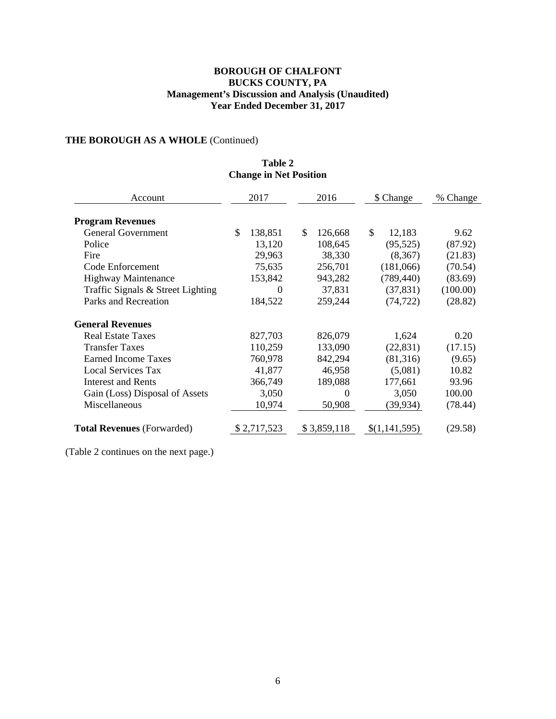**Table 2** 

# **THE BOROUGH AS A WHOLE** (Continued)

| <b>Change in Net Position</b>     |    |             |              |                   |    |               |          |
|-----------------------------------|----|-------------|--------------|-------------------|----|---------------|----------|
| Account                           |    | 2017        |              | 2016<br>\$ Change |    | % Change      |          |
| <b>Program Revenues</b>           |    |             |              |                   |    |               |          |
| <b>General Government</b>         | \$ | 138,851     | $\mathbb{S}$ | 126,668           | \$ | 12,183        | 9.62     |
| Police                            |    | 13,120      |              | 108,645           |    | (95, 525)     | (87.92)  |
| Fire                              |    | 29,963      |              | 38,330            |    | (8,367)       | (21.83)  |
| Code Enforcement                  |    | 75,635      |              | 256,701           |    | (181,066)     | (70.54)  |
| <b>Highway Maintenance</b>        |    | 153,842     |              | 943,282           |    | (789, 440)    | (83.69)  |
| Traffic Signals & Street Lighting |    | $\Omega$    |              | 37,831            |    | (37, 831)     | (100.00) |
| Parks and Recreation              |    | 184,522     |              | 259,244           |    | (74, 722)     | (28.82)  |
| <b>General Revenues</b>           |    |             |              |                   |    |               |          |
| <b>Real Estate Taxes</b>          |    | 827,703     |              | 826,079           |    | 1,624         | 0.20     |
| <b>Transfer Taxes</b>             |    | 110,259     |              | 133,090           |    | (22, 831)     | (17.15)  |
| <b>Earned Income Taxes</b>        |    | 760,978     |              | 842,294           |    | (81,316)      | (9.65)   |
| <b>Local Services Tax</b>         |    | 41,877      |              | 46,958            |    | (5,081)       | 10.82    |
| <b>Interest and Rents</b>         |    | 366,749     |              | 189,088           |    | 177,661       | 93.96    |
| Gain (Loss) Disposal of Assets    |    | 3,050       |              | $\theta$          |    | 3,050         | 100.00   |
| Miscellaneous                     |    | 10,974      |              | 50,908            |    | (39, 934)     | (78.44)  |
| <b>Total Revenues (Forwarded)</b> |    | \$2,717,523 |              | \$3,859,118       |    | \$(1,141,595) | (29.58)  |

(Table 2 continues on the next page.)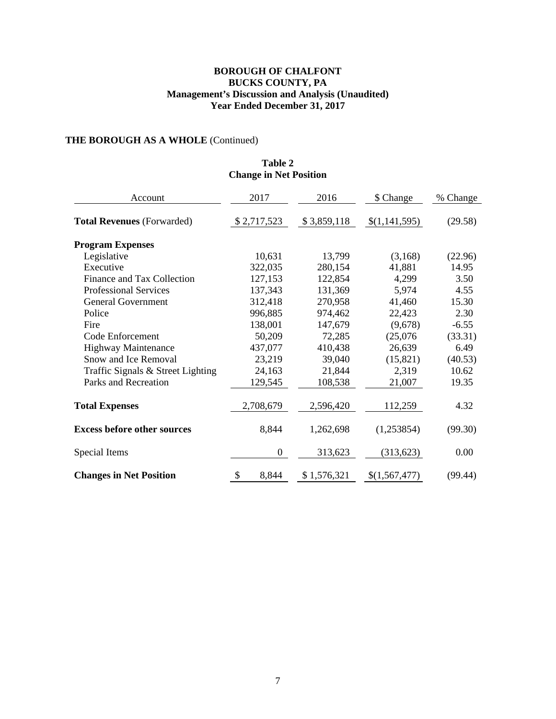# **THE BOROUGH AS A WHOLE** (Continued)

## **Table 2 Change in Net Position**

| Account                            | 2017             | 2016        | \$ Change     | % Change |
|------------------------------------|------------------|-------------|---------------|----------|
| <b>Total Revenues (Forwarded)</b>  | \$2,717,523      | \$3,859,118 | \$(1,141,595) | (29.58)  |
| <b>Program Expenses</b>            |                  |             |               |          |
| Legislative                        | 10,631           | 13,799      | (3,168)       | (22.96)  |
| Executive                          | 322,035          | 280,154     | 41,881        | 14.95    |
| Finance and Tax Collection         | 127,153          | 122,854     | 4,299         | 3.50     |
| <b>Professional Services</b>       | 137,343          | 131,369     | 5,974         | 4.55     |
| <b>General Government</b>          | 312,418          | 270,958     | 41,460        | 15.30    |
| Police                             | 996,885          | 974,462     | 22,423        | 2.30     |
| Fire                               | 138,001          | 147,679     | (9,678)       | $-6.55$  |
| Code Enforcement                   | 50,209           | 72,285      | (25,076)      | (33.31)  |
| <b>Highway Maintenance</b>         | 437,077          | 410,438     | 26,639        | 6.49     |
| Snow and Ice Removal               | 23,219           | 39,040      | (15, 821)     | (40.53)  |
| Traffic Signals & Street Lighting  | 24,163           | 21,844      | 2,319         | 10.62    |
| Parks and Recreation               | 129,545          | 108,538     | 21,007        | 19.35    |
| <b>Total Expenses</b>              | 2,708,679        | 2,596,420   | 112,259       | 4.32     |
| <b>Excess before other sources</b> | 8,844            | 1,262,698   | (1,253854)    | (99.30)  |
| Special Items                      | $\boldsymbol{0}$ | 313,623     | (313, 623)    | 0.00     |
| <b>Changes in Net Position</b>     | \$<br>8,844      | \$1,576,321 | \$(1,567,477) | (99.44)  |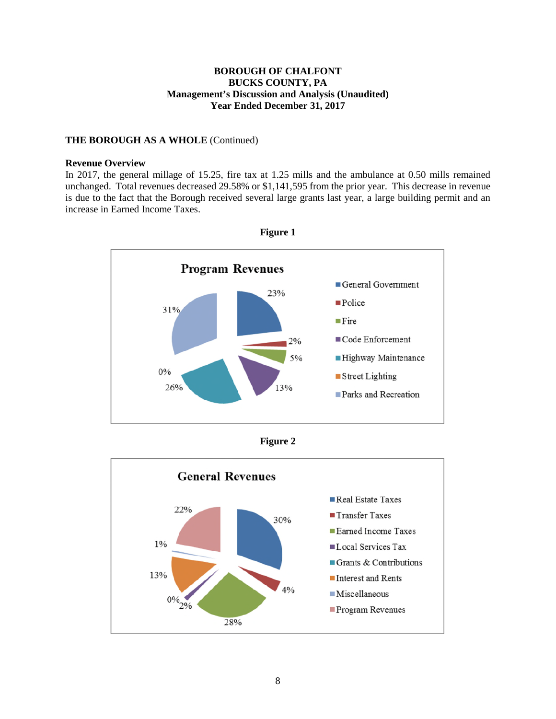### **THE BOROUGH AS A WHOLE** (Continued)

#### **Revenue Overview**

In 2017, the general millage of 15.25, fire tax at 1.25 mills and the ambulance at 0.50 mills remained unchanged. Total revenues decreased 29.58% or \$1,141,595 from the prior year. This decrease in revenue is due to the fact that the Borough received several large grants last year, a large building permit and an increase in Earned Income Taxes.







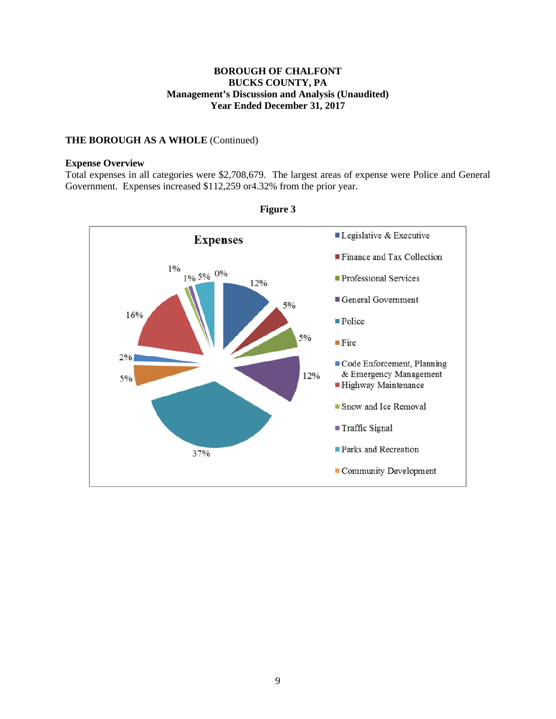## **THE BOROUGH AS A WHOLE** (Continued)

#### **Expense Overview**

Total expenses in all categories were \$2,708,679. The largest areas of expense were Police and General Government. Expenses increased \$112,259 or4.32% from the prior year.



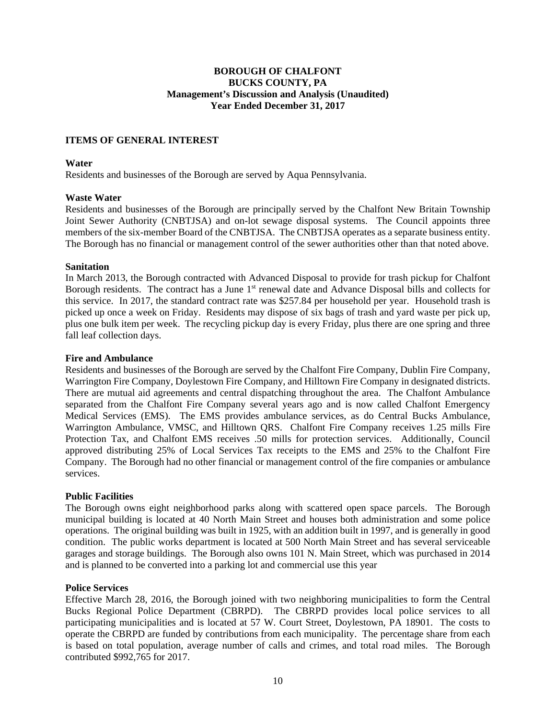### **ITEMS OF GENERAL INTEREST**

#### **Water**

Residents and businesses of the Borough are served by Aqua Pennsylvania.

#### **Waste Water**

Residents and businesses of the Borough are principally served by the Chalfont New Britain Township Joint Sewer Authority (CNBTJSA) and on-lot sewage disposal systems. The Council appoints three members of the six-member Board of the CNBTJSA. The CNBTJSA operates as a separate business entity. The Borough has no financial or management control of the sewer authorities other than that noted above.

#### **Sanitation**

In March 2013, the Borough contracted with Advanced Disposal to provide for trash pickup for Chalfont Borough residents. The contract has a June  $1<sup>st</sup>$  renewal date and Advance Disposal bills and collects for this service. In 2017, the standard contract rate was \$257.84 per household per year. Household trash is picked up once a week on Friday. Residents may dispose of six bags of trash and yard waste per pick up, plus one bulk item per week. The recycling pickup day is every Friday, plus there are one spring and three fall leaf collection days.

#### **Fire and Ambulance**

Residents and businesses of the Borough are served by the Chalfont Fire Company, Dublin Fire Company, Warrington Fire Company, Doylestown Fire Company, and Hilltown Fire Company in designated districts. There are mutual aid agreements and central dispatching throughout the area. The Chalfont Ambulance separated from the Chalfont Fire Company several years ago and is now called Chalfont Emergency Medical Services (EMS). The EMS provides ambulance services, as do Central Bucks Ambulance, Warrington Ambulance, VMSC, and Hilltown QRS. Chalfont Fire Company receives 1.25 mills Fire Protection Tax, and Chalfont EMS receives .50 mills for protection services. Additionally, Council approved distributing 25% of Local Services Tax receipts to the EMS and 25% to the Chalfont Fire Company. The Borough had no other financial or management control of the fire companies or ambulance services.

## **Public Facilities**

The Borough owns eight neighborhood parks along with scattered open space parcels. The Borough municipal building is located at 40 North Main Street and houses both administration and some police operations. The original building was built in 1925, with an addition built in 1997, and is generally in good condition. The public works department is located at 500 North Main Street and has several serviceable garages and storage buildings. The Borough also owns 101 N. Main Street, which was purchased in 2014 and is planned to be converted into a parking lot and commercial use this year

#### **Police Services**

Effective March 28, 2016, the Borough joined with two neighboring municipalities to form the Central Bucks Regional Police Department (CBRPD). The CBRPD provides local police services to all participating municipalities and is located at 57 W. Court Street, Doylestown, PA 18901. The costs to operate the CBRPD are funded by contributions from each municipality. The percentage share from each is based on total population, average number of calls and crimes, and total road miles. The Borough contributed \$992,765 for 2017.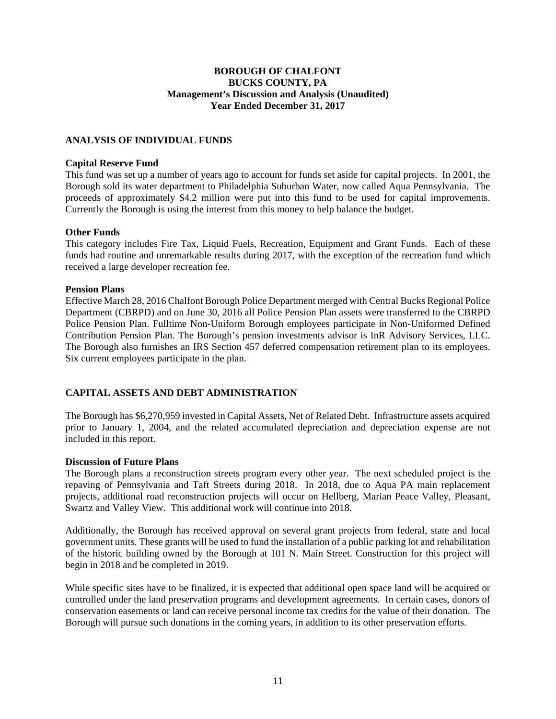## **ANALYSIS OF INDIVIDUAL FUNDS**

#### **Capital Reserve Fund**

This fund was set up a number of years ago to account for funds set aside for capital projects. In 2001, the Borough sold its water department to Philadelphia Suburban Water, now called Aqua Pennsylvania. The proceeds of approximately \$4.2 million were put into this fund to be used for capital improvements. Currently the Borough is using the interest from this money to help balance the budget.

#### **Other Funds**

This category includes Fire Tax, Liquid Fuels, Recreation, Equipment and Grant Funds. Each of these funds had routine and unremarkable results during 2017, with the exception of the recreation fund which received a large developer recreation fee.

#### **Pension Plans**

Effective March 28, 2016 Chalfont Borough Police Department merged with Central Bucks Regional Police Department (CBRPD) and on June 30, 2016 all Police Pension Plan assets were transferred to the CBRPD Police Pension Plan. Fulltime Non-Uniform Borough employees participate in Non-Uniformed Defined Contribution Pension Plan. The Borough's pension investments advisor is InR Advisory Services, LLC. The Borough also furnishes an IRS Section 457 deferred compensation retirement plan to its employees. Six current employees participate in the plan.

## **CAPITAL ASSETS AND DEBT ADMINISTRATION**

The Borough has \$6,270,959 invested in Capital Assets, Net of Related Debt. Infrastructure assets acquired prior to January 1, 2004, and the related accumulated depreciation and depreciation expense are not included in this report.

## **Discussion of Future Plans**

The Borough plans a reconstruction streets program every other year. The next scheduled project is the repaving of Pennsylvania and Taft Streets during 2018. In 2018, due to Aqua PA main replacement projects, additional road reconstruction projects will occur on Hellberg, Marian Peace Valley, Pleasant, Swartz and Valley View. This additional work will continue into 2018.

Additionally, the Borough has received approval on several grant projects from federal, state and local government units. These grants will be used to fund the installation of a public parking lot and rehabilitation of the historic building owned by the Borough at 101 N. Main Street. Construction for this project will begin in 2018 and be completed in 2019.

While specific sites have to be finalized, it is expected that additional open space land will be acquired or controlled under the land preservation programs and development agreements. In certain cases, donors of conservation easements or land can receive personal income tax credits for the value of their donation. The Borough will pursue such donations in the coming years, in addition to its other preservation efforts.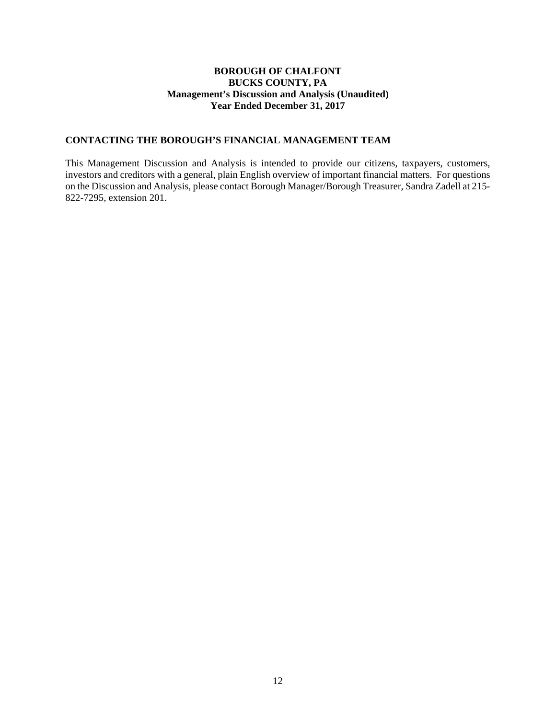## **CONTACTING THE BOROUGH'S FINANCIAL MANAGEMENT TEAM**

This Management Discussion and Analysis is intended to provide our citizens, taxpayers, customers, investors and creditors with a general, plain English overview of important financial matters. For questions on the Discussion and Analysis, please contact Borough Manager/Borough Treasurer, Sandra Zadell at 215- 822-7295, extension 201.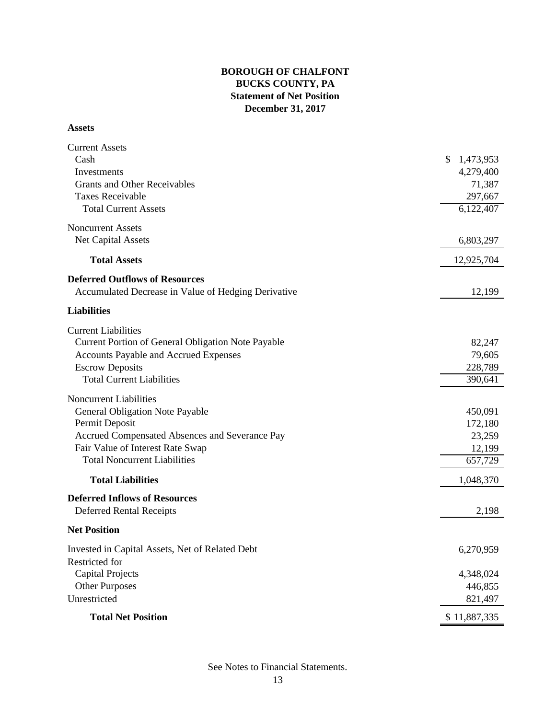# **BOROUGH OF CHALFONT BUCKS COUNTY, PA Statement of Net Position December 31, 2017**

#### **Assets**

| <b>Current Assets</b>                               |                 |
|-----------------------------------------------------|-----------------|
| Cash                                                | \$<br>1,473,953 |
| Investments                                         | 4,279,400       |
| <b>Grants and Other Receivables</b>                 | 71,387          |
| <b>Taxes Receivable</b>                             | 297,667         |
| <b>Total Current Assets</b>                         | 6,122,407       |
|                                                     |                 |
| <b>Noncurrent Assets</b>                            |                 |
| <b>Net Capital Assets</b>                           | 6,803,297       |
| <b>Total Assets</b>                                 | 12,925,704      |
| <b>Deferred Outflows of Resources</b>               |                 |
| Accumulated Decrease in Value of Hedging Derivative | 12,199          |
|                                                     |                 |
| <b>Liabilities</b>                                  |                 |
| <b>Current Liabilities</b>                          |                 |
| Current Portion of General Obligation Note Payable  | 82,247          |
| <b>Accounts Payable and Accrued Expenses</b>        | 79,605          |
| <b>Escrow Deposits</b>                              | 228,789         |
| <b>Total Current Liabilities</b>                    | 390,641         |
|                                                     |                 |
| <b>Noncurrent Liabilities</b>                       |                 |
| General Obligation Note Payable                     | 450,091         |
| Permit Deposit                                      | 172,180         |
| Accrued Compensated Absences and Severance Pay      | 23,259          |
| Fair Value of Interest Rate Swap                    | 12,199          |
| <b>Total Noncurrent Liabilities</b>                 | 657,729         |
| <b>Total Liabilities</b>                            | 1,048,370       |
| <b>Deferred Inflows of Resources</b>                |                 |
| <b>Deferred Rental Receipts</b>                     | 2,198           |
| <b>Net Position</b>                                 |                 |
| Invested in Capital Assets, Net of Related Debt     | 6,270,959       |
| Restricted for                                      |                 |
| <b>Capital Projects</b>                             | 4,348,024       |
| <b>Other Purposes</b>                               | 446,855         |
| Unrestricted                                        | 821,497         |
|                                                     |                 |
| <b>Total Net Position</b>                           | \$11,887,335    |

See Notes to Financial Statements.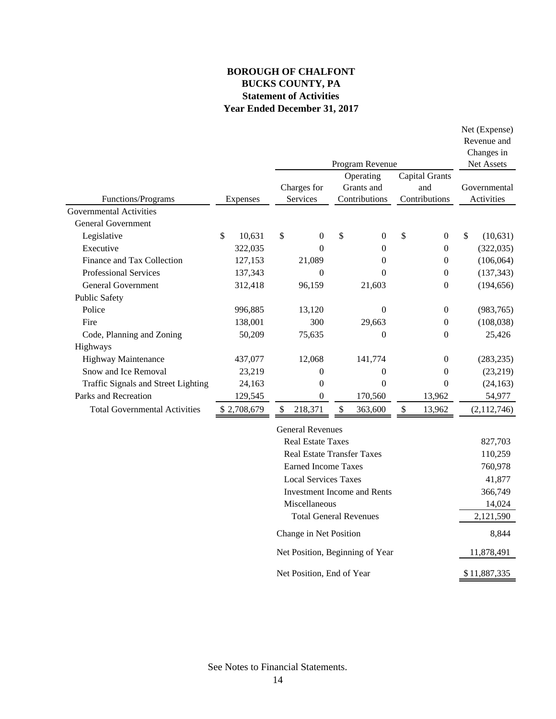# **BOROUGH OF CHALFONT BUCKS COUNTY, PA Statement of Activities Year Ended December 31, 2017**

|                                      |              |                         |               | Program Revenue                          |                                        |               | Net (Expense)<br>Revenue and<br>Changes in<br>Net Assets |
|--------------------------------------|--------------|-------------------------|---------------|------------------------------------------|----------------------------------------|---------------|----------------------------------------------------------|
| Functions/Programs                   | Expenses     | Charges for<br>Services |               | Operating<br>Grants and<br>Contributions | Capital Grants<br>and<br>Contributions |               | Governmental<br>Activities                               |
| <b>Governmental Activities</b>       |              |                         |               |                                          |                                        |               |                                                          |
| General Government                   |              |                         |               |                                          |                                        |               |                                                          |
| Legislative                          | \$<br>10,631 | \$<br>$\boldsymbol{0}$  | $\mathcal{S}$ | $\overline{0}$                           | \$<br>$\boldsymbol{0}$                 | $\mathcal{S}$ | (10, 631)                                                |
| Executive                            | 322,035      | $\theta$                |               | $\theta$                                 | $\mathbf{0}$                           |               | (322, 035)                                               |
| Finance and Tax Collection           | 127,153      | 21,089                  |               | 0                                        | $\overline{0}$                         |               | (106, 064)                                               |
| <b>Professional Services</b>         | 137,343      | $\theta$                |               | $\theta$                                 | $\theta$                               |               | (137, 343)                                               |
| <b>General Government</b>            | 312,418      | 96,159                  |               | 21,603                                   | $\theta$                               |               | (194, 656)                                               |
| <b>Public Safety</b>                 |              |                         |               |                                          |                                        |               |                                                          |
| Police                               | 996,885      | 13,120                  |               | $\theta$                                 | $\boldsymbol{0}$                       |               | (983, 765)                                               |
| Fire                                 | 138,001      | 300                     |               | 29,663                                   | $\theta$                               |               | (108, 038)                                               |
| Code, Planning and Zoning            | 50,209       | 75,635                  |               | $\overline{0}$                           | $\overline{0}$                         |               | 25,426                                                   |
| Highways                             |              |                         |               |                                          |                                        |               |                                                          |
| <b>Highway Maintenance</b>           | 437,077      | 12,068                  |               | 141,774                                  | $\theta$                               |               | (283, 235)                                               |
| Snow and Ice Removal                 | 23,219       | $\theta$                |               | $\theta$                                 | $\theta$                               |               | (23, 219)                                                |
| Traffic Signals and Street Lighting  | 24,163       | $\theta$                |               | $\Omega$                                 | 0                                      |               | (24, 163)                                                |
| Parks and Recreation                 | 129,545      | $\boldsymbol{0}$        |               | 170,560                                  | 13,962                                 |               | 54,977                                                   |
| <b>Total Governmental Activities</b> | \$2,708,679  | \$<br>218,371           | \$            | 363,600                                  | \$<br>13,962                           |               | (2,112,746)                                              |
|                                      |              | <b>General Revenues</b> |               |                                          |                                        |               |                                                          |

| <b>General Revenues</b>           |              |
|-----------------------------------|--------------|
| Real Estate Taxes                 | 827,703      |
| <b>Real Estate Transfer Taxes</b> | 110,259      |
| Earned Income Taxes               | 760,978      |
| Local Services Taxes              | 41,877       |
| Investment Income and Rents       | 366,749      |
| Miscellaneous                     | 14,024       |
| <b>Total General Revenues</b>     | 2,121,590    |
| Change in Net Position            | 8.844        |
| Net Position, Beginning of Year   | 11,878,491   |
| Net Position, End of Year         | \$11,887,335 |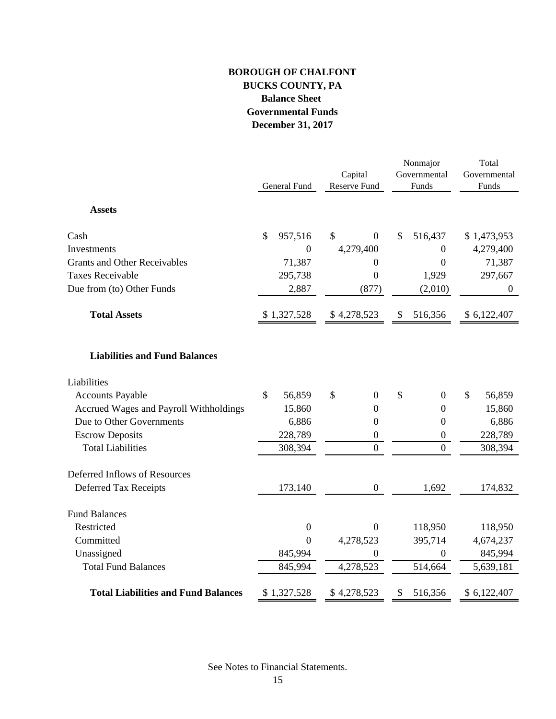# **BOROUGH OF CHALFONT BUCKS COUNTY, PA Balance Sheet Governmental Funds December 31, 2017**

|                                            |               | General Fund     |    | Capital<br>Reserve Fund |    | Nonmajor<br>Governmental<br>Funds | Total<br>Governmental<br>Funds |                  |  |
|--------------------------------------------|---------------|------------------|----|-------------------------|----|-----------------------------------|--------------------------------|------------------|--|
| <b>Assets</b>                              |               |                  |    |                         |    |                                   |                                |                  |  |
| Cash                                       | \$            | 957,516          | \$ | $\overline{0}$          | \$ | 516,437                           |                                | \$1,473,953      |  |
| Investments                                |               | $\Omega$         |    | 4,279,400               |    | $\boldsymbol{0}$                  |                                | 4,279,400        |  |
| <b>Grants and Other Receivables</b>        |               | 71,387           |    | $\boldsymbol{0}$        |    | $\boldsymbol{0}$                  |                                | 71,387           |  |
| <b>Taxes Receivable</b>                    |               | 295,738          |    | $\boldsymbol{0}$        |    | 1,929                             |                                | 297,667          |  |
| Due from (to) Other Funds                  |               | 2,887            |    | (877)                   |    | (2,010)                           |                                | $\boldsymbol{0}$ |  |
| <b>Total Assets</b>                        |               | \$1,327,528      |    | \$4,278,523             | \$ | 516,356                           |                                | \$ 6,122,407     |  |
| <b>Liabilities and Fund Balances</b>       |               |                  |    |                         |    |                                   |                                |                  |  |
| Liabilities                                |               |                  |    |                         |    |                                   |                                |                  |  |
| <b>Accounts Payable</b>                    | $\mathcal{S}$ | 56,859           | \$ | $\boldsymbol{0}$        | \$ | $\boldsymbol{0}$                  | \$                             | 56,859           |  |
| Accrued Wages and Payroll Withholdings     |               | 15,860           |    | $\boldsymbol{0}$        |    | $\mathbf{0}$                      |                                | 15,860           |  |
| Due to Other Governments                   |               | 6,886            |    | $\overline{0}$          |    | $\boldsymbol{0}$                  |                                | 6,886            |  |
| <b>Escrow Deposits</b>                     |               | 228,789          |    | $\boldsymbol{0}$        |    | $\boldsymbol{0}$                  |                                | 228,789          |  |
| <b>Total Liabilities</b>                   |               | 308,394          |    | $\overline{0}$          |    | $\overline{0}$                    |                                | 308,394          |  |
| Deferred Inflows of Resources              |               |                  |    |                         |    |                                   |                                |                  |  |
| Deferred Tax Receipts                      |               | 173,140          |    | $\overline{0}$          |    | 1,692                             |                                | 174,832          |  |
| <b>Fund Balances</b>                       |               |                  |    |                         |    |                                   |                                |                  |  |
| Restricted                                 |               | $\boldsymbol{0}$ |    | $\boldsymbol{0}$        |    | 118,950                           |                                | 118,950          |  |
| Committed                                  |               | $\boldsymbol{0}$ |    | 4,278,523               |    | 395,714                           |                                | 4,674,237        |  |
| Unassigned                                 |               | 845,994          |    | $\boldsymbol{0}$        |    | $\mathbf{0}$                      |                                | 845,994          |  |
| <b>Total Fund Balances</b>                 |               | 845,994          |    | 4,278,523               |    | 514,664                           |                                | 5,639,181        |  |
| <b>Total Liabilities and Fund Balances</b> |               | \$1,327,528      |    | \$4,278,523             | \$ | 516,356                           |                                | \$6,122,407      |  |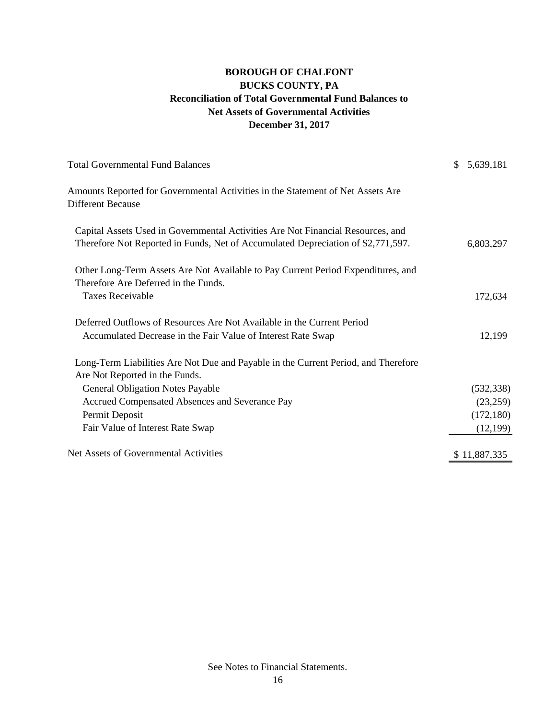# **Net Assets of Governmental Activities BOROUGH OF CHALFONT BUCKS COUNTY, PA Reconciliation of Total Governmental Fund Balances to December 31, 2017**

| <b>Total Governmental Fund Balances</b>                                                                                                                             | \$<br>5,639,181 |
|---------------------------------------------------------------------------------------------------------------------------------------------------------------------|-----------------|
| Amounts Reported for Governmental Activities in the Statement of Net Assets Are<br><b>Different Because</b>                                                         |                 |
| Capital Assets Used in Governmental Activities Are Not Financial Resources, and<br>Therefore Not Reported in Funds, Net of Accumulated Depreciation of \$2,771,597. | 6,803,297       |
| Other Long-Term Assets Are Not Available to Pay Current Period Expenditures, and<br>Therefore Are Deferred in the Funds.                                            |                 |
| <b>Taxes Receivable</b>                                                                                                                                             | 172,634         |
| Deferred Outflows of Resources Are Not Available in the Current Period<br>Accumulated Decrease in the Fair Value of Interest Rate Swap                              | 12,199          |
| Long-Term Liabilities Are Not Due and Payable in the Current Period, and Therefore<br>Are Not Reported in the Funds.                                                |                 |
| <b>General Obligation Notes Payable</b>                                                                                                                             | (532, 338)      |
| Accrued Compensated Absences and Severance Pay                                                                                                                      | (23,259)        |
| Permit Deposit                                                                                                                                                      | (172, 180)      |
| Fair Value of Interest Rate Swap                                                                                                                                    | (12, 199)       |
| Net Assets of Governmental Activities                                                                                                                               | \$11,887,335    |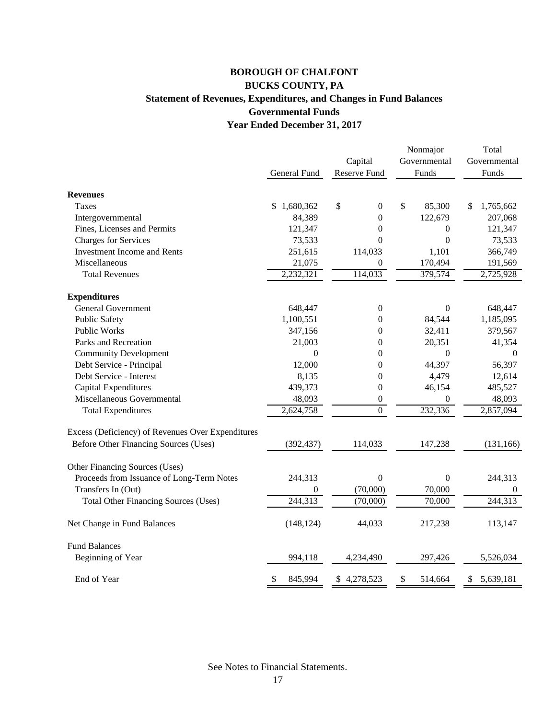# **BOROUGH OF CHALFONT BUCKS COUNTY, PA Statement of Revenues, Expenditures, and Changes in Fund Balances Governmental Funds Year Ended December 31, 2017**

|                                                   |               |                        | Nonmajor         | Total           |  |
|---------------------------------------------------|---------------|------------------------|------------------|-----------------|--|
|                                                   |               | Capital                | Governmental     | Governmental    |  |
|                                                   | General Fund  | Reserve Fund           | Funds            | Funds           |  |
| <b>Revenues</b>                                   |               |                        |                  |                 |  |
| Taxes                                             | \$1,680,362   | \$<br>$\boldsymbol{0}$ | \$<br>85,300     | \$<br>1,765,662 |  |
| Intergovernmental                                 | 84,389        | $\boldsymbol{0}$       | 122,679          | 207,068         |  |
| Fines, Licenses and Permits                       | 121,347       | $\boldsymbol{0}$       | $\boldsymbol{0}$ | 121,347         |  |
| <b>Charges for Services</b>                       | 73,533        | $\boldsymbol{0}$       | $\boldsymbol{0}$ | 73,533          |  |
| <b>Investment Income and Rents</b>                | 251,615       | 114,033                | 1,101            | 366,749         |  |
| Miscellaneous                                     | 21,075        | $\theta$               | 170,494          | 191,569         |  |
| <b>Total Revenues</b>                             | 2,232,321     | $1\overline{14,033}$   | 379,574          | 2,725,928       |  |
| <b>Expenditures</b>                               |               |                        |                  |                 |  |
| <b>General Government</b>                         | 648,447       | $\boldsymbol{0}$       | $\mathbf{0}$     | 648,447         |  |
| <b>Public Safety</b>                              | 1,100,551     | $\boldsymbol{0}$       | 84,544           | 1,185,095       |  |
| <b>Public Works</b>                               | 347,156       | $\boldsymbol{0}$       | 32,411           | 379,567         |  |
| Parks and Recreation                              | 21,003        | 0                      | 20,351           | 41,354          |  |
| <b>Community Development</b>                      | $\mathbf{0}$  | $\overline{0}$         | $\overline{0}$   | $\theta$        |  |
| Debt Service - Principal                          | 12,000        | $\boldsymbol{0}$       | 44,397           | 56,397          |  |
| Debt Service - Interest                           | 8,135         | $\boldsymbol{0}$       | 4,479            | 12,614          |  |
| Capital Expenditures                              | 439,373       | $\boldsymbol{0}$       | 46,154           | 485,527         |  |
| Miscellaneous Governmental                        | 48,093        | $\boldsymbol{0}$       | $\overline{0}$   | 48,093          |  |
| <b>Total Expenditures</b>                         | 2,624,758     | $\overline{0}$         | 232,336          | 2,857,094       |  |
| Excess (Deficiency) of Revenues Over Expenditures |               |                        |                  |                 |  |
| Before Other Financing Sources (Uses)             | (392, 437)    | 114,033                | 147,238          | (131, 166)      |  |
| Other Financing Sources (Uses)                    |               |                        |                  |                 |  |
| Proceeds from Issuance of Long-Term Notes         | 244,313       | $\boldsymbol{0}$       | $\boldsymbol{0}$ | 244,313         |  |
| Transfers In (Out)                                | $\Omega$      | (70,000)               | 70,000           | $\mathbf{0}$    |  |
| <b>Total Other Financing Sources (Uses)</b>       | 244,313       | (70,000)               | 70,000           | 244,313         |  |
| Net Change in Fund Balances                       | (148, 124)    | 44,033                 | 217,238          | 113,147         |  |
| <b>Fund Balances</b>                              |               |                        |                  |                 |  |
| Beginning of Year                                 | 994,118       | 4,234,490              | 297,426          | 5,526,034       |  |
| End of Year                                       | \$<br>845,994 | \$4,278,523            | \$<br>514,664    | \$<br>5,639,181 |  |

See Notes to Financial Statements.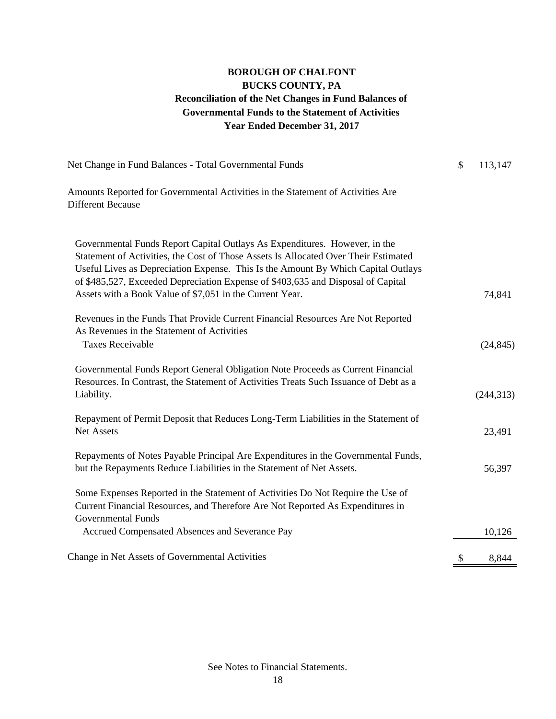# **BUCKS COUNTY, PA Reconciliation of the Net Changes in Fund Balances of Governmental Funds to the Statement of Activities BOROUGH OF CHALFONT Year Ended December 31, 2017**

| Net Change in Fund Balances - Total Governmental Funds                                                                                                                                                                                                                                                                                                                                                 | $\mathcal{S}$ | 113,147    |
|--------------------------------------------------------------------------------------------------------------------------------------------------------------------------------------------------------------------------------------------------------------------------------------------------------------------------------------------------------------------------------------------------------|---------------|------------|
| Amounts Reported for Governmental Activities in the Statement of Activities Are<br><b>Different Because</b>                                                                                                                                                                                                                                                                                            |               |            |
| Governmental Funds Report Capital Outlays As Expenditures. However, in the<br>Statement of Activities, the Cost of Those Assets Is Allocated Over Their Estimated<br>Useful Lives as Depreciation Expense. This Is the Amount By Which Capital Outlays<br>of \$485,527, Exceeded Depreciation Expense of \$403,635 and Disposal of Capital<br>Assets with a Book Value of \$7,051 in the Current Year. |               | 74,841     |
| Revenues in the Funds That Provide Current Financial Resources Are Not Reported<br>As Revenues in the Statement of Activities<br><b>Taxes Receivable</b>                                                                                                                                                                                                                                               |               | (24, 845)  |
| Governmental Funds Report General Obligation Note Proceeds as Current Financial<br>Resources. In Contrast, the Statement of Activities Treats Such Issuance of Debt as a<br>Liability.                                                                                                                                                                                                                 |               | (244, 313) |
| Repayment of Permit Deposit that Reduces Long-Term Liabilities in the Statement of<br>Net Assets                                                                                                                                                                                                                                                                                                       |               | 23,491     |
| Repayments of Notes Payable Principal Are Expenditures in the Governmental Funds,<br>but the Repayments Reduce Liabilities in the Statement of Net Assets.                                                                                                                                                                                                                                             |               | 56,397     |
| Some Expenses Reported in the Statement of Activities Do Not Require the Use of<br>Current Financial Resources, and Therefore Are Not Reported As Expenditures in<br><b>Governmental Funds</b>                                                                                                                                                                                                         |               |            |
| Accrued Compensated Absences and Severance Pay                                                                                                                                                                                                                                                                                                                                                         |               | 10,126     |
| Change in Net Assets of Governmental Activities                                                                                                                                                                                                                                                                                                                                                        | \$            | 8,844      |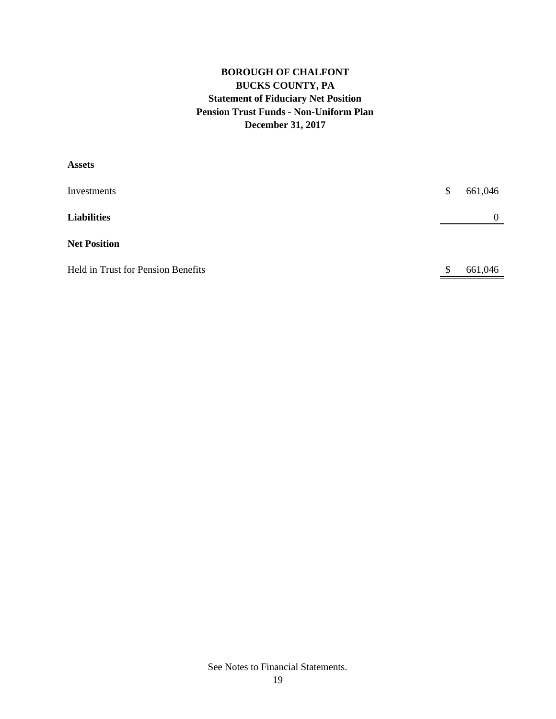# **BOROUGH OF CHALFONT BUCKS COUNTY, PA Statement of Fiduciary Net Position Pension Trust Funds - Non-Uniform Plan December 31, 2017**

| <b>Assets</b>                      |               |
|------------------------------------|---------------|
| Investments                        | \$<br>661,046 |
| <b>Liabilities</b>                 | $\theta$      |
| <b>Net Position</b>                |               |
| Held in Trust for Pension Benefits | \$<br>661,046 |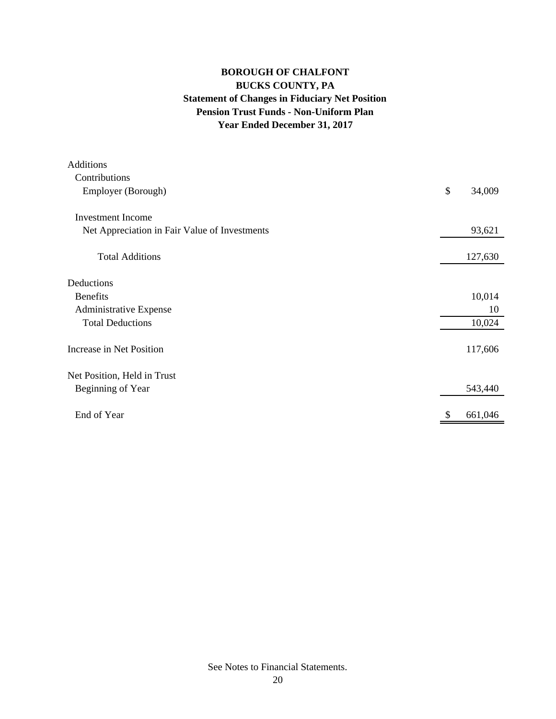# **BOROUGH OF CHALFONT BUCKS COUNTY, PA Statement of Changes in Fiduciary Net Position Pension Trust Funds - Non-Uniform Plan Year Ended December 31, 2017**

| <b>Additions</b>                              |              |
|-----------------------------------------------|--------------|
| Contributions                                 |              |
| Employer (Borough)                            | \$<br>34,009 |
| Investment Income                             |              |
| Net Appreciation in Fair Value of Investments | 93,621       |
| <b>Total Additions</b>                        | 127,630      |
| Deductions                                    |              |
| <b>Benefits</b>                               | 10,014       |
| Administrative Expense                        | 10           |
| <b>Total Deductions</b>                       | 10,024       |
| Increase in Net Position                      | 117,606      |
| Net Position, Held in Trust                   |              |
| Beginning of Year                             | 543,440      |
| End of Year                                   | 661,046      |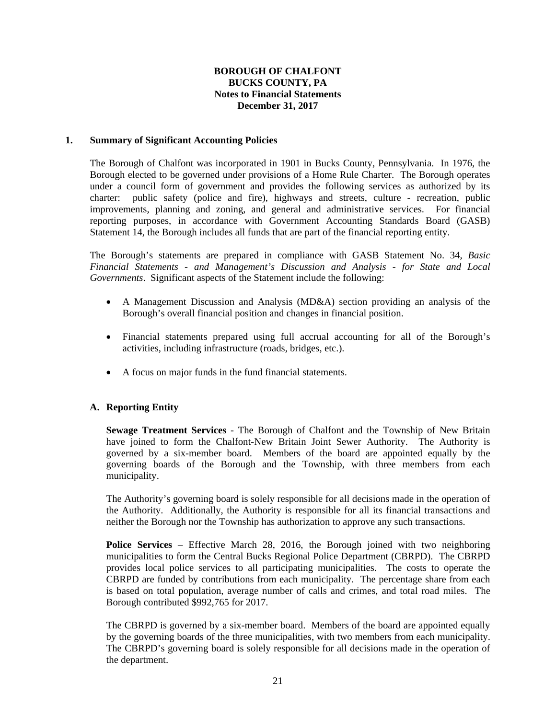### **1. Summary of Significant Accounting Policies**

 The Borough of Chalfont was incorporated in 1901 in Bucks County, Pennsylvania. In 1976, the Borough elected to be governed under provisions of a Home Rule Charter. The Borough operates under a council form of government and provides the following services as authorized by its charter: public safety (police and fire), highways and streets, culture - recreation, public improvements, planning and zoning, and general and administrative services. For financial reporting purposes, in accordance with Government Accounting Standards Board (GASB) Statement 14, the Borough includes all funds that are part of the financial reporting entity.

The Borough's statements are prepared in compliance with GASB Statement No. 34, *Basic Financial Statements - and Management's Discussion and Analysis - for State and Local Governments*. Significant aspects of the Statement include the following:

- A Management Discussion and Analysis (MD&A) section providing an analysis of the Borough's overall financial position and changes in financial position.
- Financial statements prepared using full accrual accounting for all of the Borough's activities, including infrastructure (roads, bridges, etc.).
- A focus on major funds in the fund financial statements.

## **A. Reporting Entity**

 **Sewage Treatment Services** - The Borough of Chalfont and the Township of New Britain have joined to form the Chalfont-New Britain Joint Sewer Authority. The Authority is governed by a six-member board. Members of the board are appointed equally by the governing boards of the Borough and the Township, with three members from each municipality.

 The Authority's governing board is solely responsible for all decisions made in the operation of the Authority. Additionally, the Authority is responsible for all its financial transactions and neither the Borough nor the Township has authorization to approve any such transactions.

**Police Services** – Effective March 28, 2016, the Borough joined with two neighboring municipalities to form the Central Bucks Regional Police Department (CBRPD). The CBRPD provides local police services to all participating municipalities. The costs to operate the CBRPD are funded by contributions from each municipality. The percentage share from each is based on total population, average number of calls and crimes, and total road miles. The Borough contributed \$992,765 for 2017.

 The CBRPD is governed by a six-member board. Members of the board are appointed equally by the governing boards of the three municipalities, with two members from each municipality. The CBRPD's governing board is solely responsible for all decisions made in the operation of the department.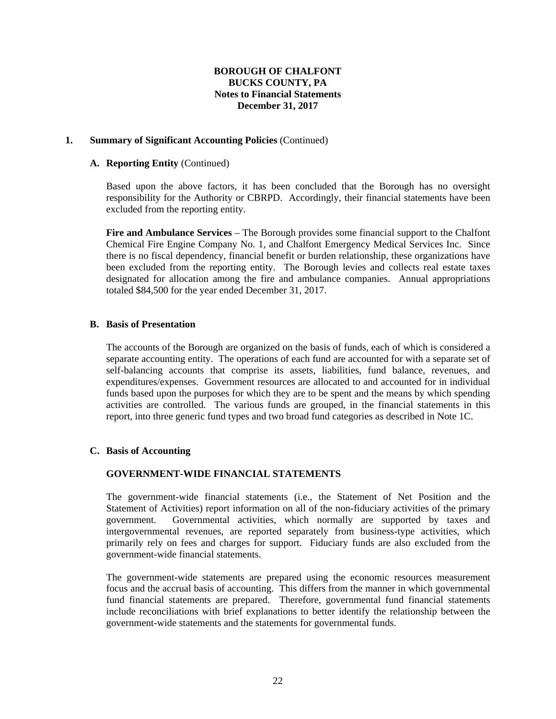#### **1. Summary of Significant Accounting Policies** (Continued)

#### **A. Reporting Entity** (Continued)

 Based upon the above factors, it has been concluded that the Borough has no oversight responsibility for the Authority or CBRPD. Accordingly, their financial statements have been excluded from the reporting entity.

 **Fire and Ambulance Services** – The Borough provides some financial support to the Chalfont Chemical Fire Engine Company No. 1, and Chalfont Emergency Medical Services Inc. Since there is no fiscal dependency, financial benefit or burden relationship, these organizations have been excluded from the reporting entity. The Borough levies and collects real estate taxes designated for allocation among the fire and ambulance companies. Annual appropriations totaled \$84,500 for the year ended December 31, 2017.

#### **B. Basis of Presentation**

 The accounts of the Borough are organized on the basis of funds, each of which is considered a separate accounting entity. The operations of each fund are accounted for with a separate set of self-balancing accounts that comprise its assets, liabilities, fund balance, revenues, and expenditures/expenses. Government resources are allocated to and accounted for in individual funds based upon the purposes for which they are to be spent and the means by which spending activities are controlled. The various funds are grouped, in the financial statements in this report, into three generic fund types and two broad fund categories as described in Note 1C.

## **C. Basis of Accounting**

#### **GOVERNMENT-WIDE FINANCIAL STATEMENTS**

The government-wide financial statements (i.e., the Statement of Net Position and the Statement of Activities) report information on all of the non-fiduciary activities of the primary government. Governmental activities, which normally are supported by taxes and intergovernmental revenues, are reported separately from business-type activities, which primarily rely on fees and charges for support. Fiduciary funds are also excluded from the government-wide financial statements.

The government-wide statements are prepared using the economic resources measurement focus and the accrual basis of accounting. This differs from the manner in which governmental fund financial statements are prepared. Therefore, governmental fund financial statements include reconciliations with brief explanations to better identify the relationship between the government-wide statements and the statements for governmental funds.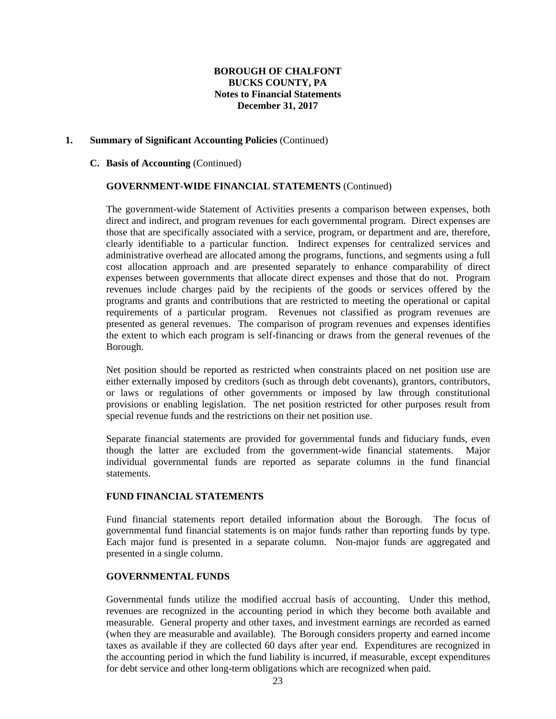#### **1. Summary of Significant Accounting Policies** (Continued)

#### **C. Basis of Accounting** (Continued)

#### **GOVERNMENT-WIDE FINANCIAL STATEMENTS** (Continued)

The government-wide Statement of Activities presents a comparison between expenses, both direct and indirect, and program revenues for each governmental program. Direct expenses are those that are specifically associated with a service, program, or department and are, therefore, clearly identifiable to a particular function. Indirect expenses for centralized services and administrative overhead are allocated among the programs, functions, and segments using a full cost allocation approach and are presented separately to enhance comparability of direct expenses between governments that allocate direct expenses and those that do not. Program revenues include charges paid by the recipients of the goods or services offered by the programs and grants and contributions that are restricted to meeting the operational or capital requirements of a particular program. Revenues not classified as program revenues are presented as general revenues. The comparison of program revenues and expenses identifies the extent to which each program is self-financing or draws from the general revenues of the Borough.

Net position should be reported as restricted when constraints placed on net position use are either externally imposed by creditors (such as through debt covenants), grantors, contributors, or laws or regulations of other governments or imposed by law through constitutional provisions or enabling legislation. The net position restricted for other purposes result from special revenue funds and the restrictions on their net position use.

Separate financial statements are provided for governmental funds and fiduciary funds, even though the latter are excluded from the government-wide financial statements. Major individual governmental funds are reported as separate columns in the fund financial statements.

#### **FUND FINANCIAL STATEMENTS**

Fund financial statements report detailed information about the Borough. The focus of governmental fund financial statements is on major funds rather than reporting funds by type. Each major fund is presented in a separate column. Non-major funds are aggregated and presented in a single column.

## **GOVERNMENTAL FUNDS**

Governmental funds utilize the modified accrual basis of accounting. Under this method, revenues are recognized in the accounting period in which they become both available and measurable. General property and other taxes, and investment earnings are recorded as earned (when they are measurable and available). The Borough considers property and earned income taxes as available if they are collected 60 days after year end. Expenditures are recognized in the accounting period in which the fund liability is incurred, if measurable, except expenditures for debt service and other long-term obligations which are recognized when paid.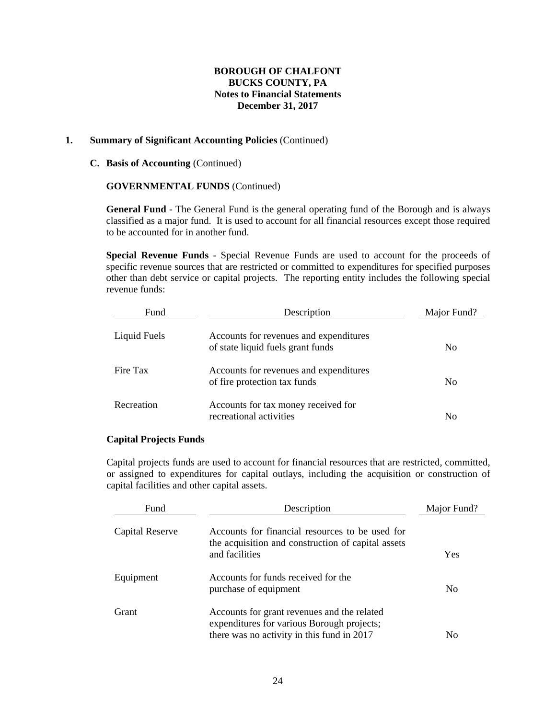### **1. Summary of Significant Accounting Policies** (Continued)

#### **C. Basis of Accounting** (Continued)

#### **GOVERNMENTAL FUNDS** (Continued)

**General Fund** - The General Fund is the general operating fund of the Borough and is always classified as a major fund. It is used to account for all financial resources except those required to be accounted for in another fund.

**Special Revenue Funds** - Special Revenue Funds are used to account for the proceeds of specific revenue sources that are restricted or committed to expenditures for specified purposes other than debt service or capital projects. The reporting entity includes the following special revenue funds:

| Fund         | Description                                                                 | Major Fund?    |
|--------------|-----------------------------------------------------------------------------|----------------|
| Liquid Fuels | Accounts for revenues and expenditures<br>of state liquid fuels grant funds | N <sub>0</sub> |
| Fire Tax     | Accounts for revenues and expenditures<br>of fire protection tax funds      | N <sub>0</sub> |
| Recreation   | Accounts for tax money received for<br>recreational activities              | No             |

## **Capital Projects Funds**

Capital projects funds are used to account for financial resources that are restricted, committed, or assigned to expenditures for capital outlays, including the acquisition or construction of capital facilities and other capital assets.

| Fund            | Description                                                                                                                             | Major Fund?    |
|-----------------|-----------------------------------------------------------------------------------------------------------------------------------------|----------------|
| Capital Reserve | Accounts for financial resources to be used for<br>the acquisition and construction of capital assets<br>and facilities                 | Yes            |
| Equipment       | Accounts for funds received for the<br>purchase of equipment                                                                            | N <sub>0</sub> |
| Grant           | Accounts for grant revenues and the related<br>expenditures for various Borough projects;<br>there was no activity in this fund in 2017 | N <sub>0</sub> |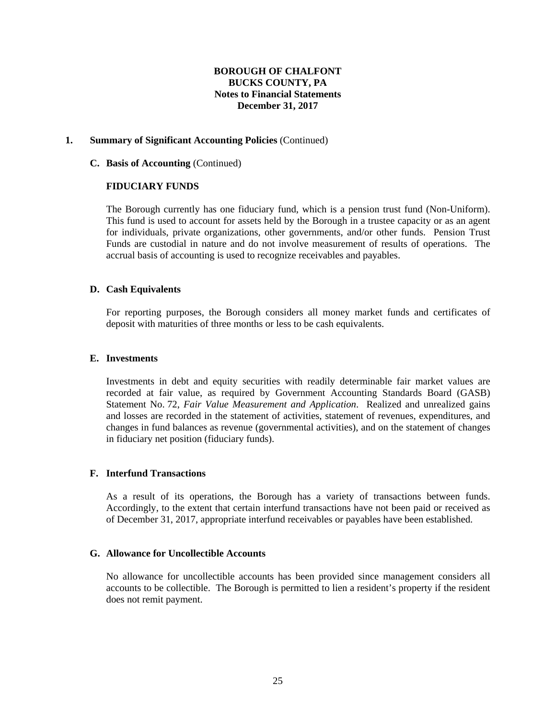### **1. Summary of Significant Accounting Policies** (Continued)

#### **C. Basis of Accounting** (Continued)

#### **FIDUCIARY FUNDS**

 The Borough currently has one fiduciary fund, which is a pension trust fund (Non-Uniform). This fund is used to account for assets held by the Borough in a trustee capacity or as an agent for individuals, private organizations, other governments, and/or other funds. Pension Trust Funds are custodial in nature and do not involve measurement of results of operations. The accrual basis of accounting is used to recognize receivables and payables.

## **D. Cash Equivalents**

For reporting purposes, the Borough considers all money market funds and certificates of deposit with maturities of three months or less to be cash equivalents.

#### **E. Investments**

Investments in debt and equity securities with readily determinable fair market values are recorded at fair value, as required by Government Accounting Standards Board (GASB) Statement No. 72, *Fair Value Measurement and Application*. Realized and unrealized gains and losses are recorded in the statement of activities, statement of revenues, expenditures, and changes in fund balances as revenue (governmental activities), and on the statement of changes in fiduciary net position (fiduciary funds).

#### **F. Interfund Transactions**

 As a result of its operations, the Borough has a variety of transactions between funds. Accordingly, to the extent that certain interfund transactions have not been paid or received as of December 31, 2017, appropriate interfund receivables or payables have been established.

#### **G. Allowance for Uncollectible Accounts**

No allowance for uncollectible accounts has been provided since management considers all accounts to be collectible. The Borough is permitted to lien a resident's property if the resident does not remit payment.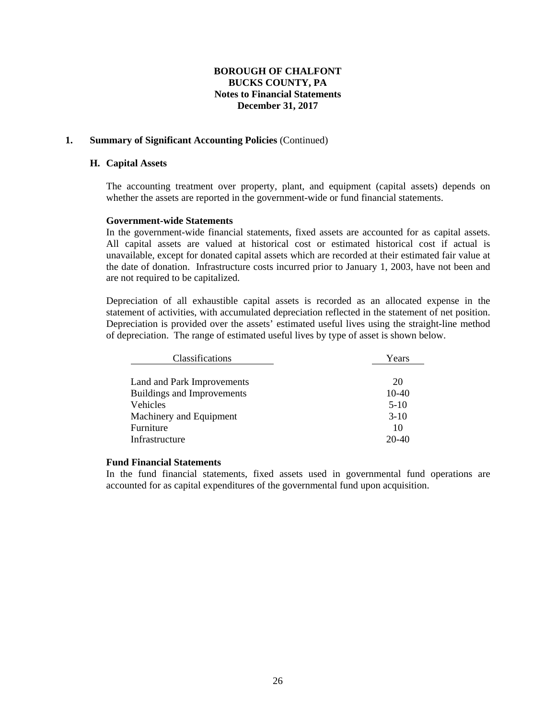#### **1. Summary of Significant Accounting Policies** (Continued)

#### **H. Capital Assets**

 The accounting treatment over property, plant, and equipment (capital assets) depends on whether the assets are reported in the government-wide or fund financial statements.

#### **Government-wide Statements**

 In the government-wide financial statements, fixed assets are accounted for as capital assets. All capital assets are valued at historical cost or estimated historical cost if actual is unavailable, except for donated capital assets which are recorded at their estimated fair value at the date of donation. Infrastructure costs incurred prior to January 1, 2003, have not been and are not required to be capitalized.

 Depreciation of all exhaustible capital assets is recorded as an allocated expense in the statement of activities, with accumulated depreciation reflected in the statement of net position. Depreciation is provided over the assets' estimated useful lives using the straight-line method of depreciation. The range of estimated useful lives by type of asset is shown below.

| Classifications                   | Years   |
|-----------------------------------|---------|
|                                   |         |
| Land and Park Improvements        | 20      |
| <b>Buildings and Improvements</b> | $10-40$ |
| <b>Vehicles</b>                   | $5-10$  |
| Machinery and Equipment           | $3-10$  |
| Furniture                         | 10      |
| Infrastructure                    | $20-40$ |

#### **Fund Financial Statements**

 In the fund financial statements, fixed assets used in governmental fund operations are accounted for as capital expenditures of the governmental fund upon acquisition.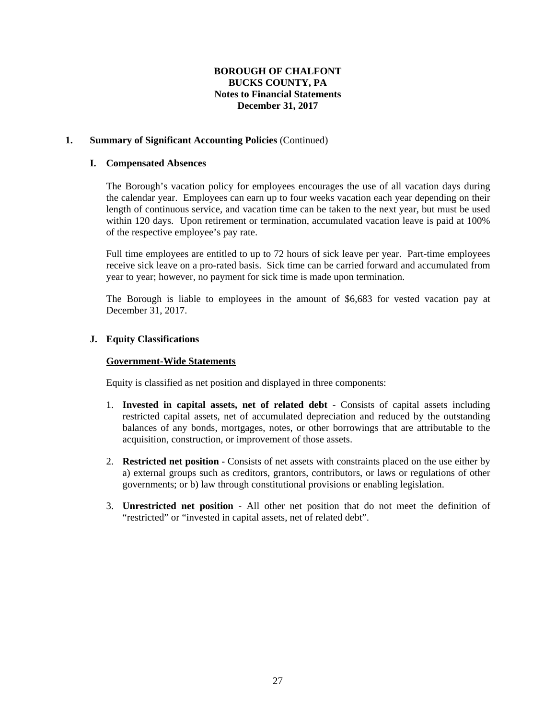## **1. Summary of Significant Accounting Policies** (Continued)

#### **I. Compensated Absences**

The Borough's vacation policy for employees encourages the use of all vacation days during the calendar year. Employees can earn up to four weeks vacation each year depending on their length of continuous service, and vacation time can be taken to the next year, but must be used within 120 days. Upon retirement or termination, accumulated vacation leave is paid at 100% of the respective employee's pay rate.

Full time employees are entitled to up to 72 hours of sick leave per year. Part-time employees receive sick leave on a pro-rated basis. Sick time can be carried forward and accumulated from year to year; however, no payment for sick time is made upon termination.

The Borough is liable to employees in the amount of \$6,683 for vested vacation pay at December 31, 2017.

## **J. Equity Classifications**

#### **Government-Wide Statements**

Equity is classified as net position and displayed in three components:

- 1. **Invested in capital assets, net of related debt** Consists of capital assets including restricted capital assets, net of accumulated depreciation and reduced by the outstanding balances of any bonds, mortgages, notes, or other borrowings that are attributable to the acquisition, construction, or improvement of those assets.
- 2. **Restricted net position** Consists of net assets with constraints placed on the use either by a) external groups such as creditors, grantors, contributors, or laws or regulations of other governments; or b) law through constitutional provisions or enabling legislation.
- 3. **Unrestricted net position** All other net position that do not meet the definition of "restricted" or "invested in capital assets, net of related debt".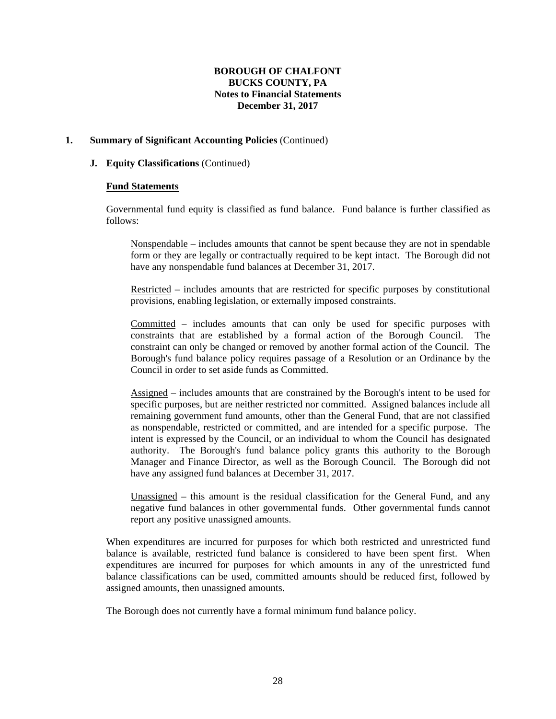## **1. Summary of Significant Accounting Policies** (Continued)

#### **J. Equity Classifications** (Continued)

#### **Fund Statements**

Governmental fund equity is classified as fund balance. Fund balance is further classified as follows:

Nonspendable – includes amounts that cannot be spent because they are not in spendable form or they are legally or contractually required to be kept intact. The Borough did not have any nonspendable fund balances at December 31, 2017.

Restricted – includes amounts that are restricted for specific purposes by constitutional provisions, enabling legislation, or externally imposed constraints.

Committed – includes amounts that can only be used for specific purposes with constraints that are established by a formal action of the Borough Council. The constraint can only be changed or removed by another formal action of the Council. The Borough's fund balance policy requires passage of a Resolution or an Ordinance by the Council in order to set aside funds as Committed.

Assigned – includes amounts that are constrained by the Borough's intent to be used for specific purposes, but are neither restricted nor committed. Assigned balances include all remaining government fund amounts, other than the General Fund, that are not classified as nonspendable, restricted or committed, and are intended for a specific purpose. The intent is expressed by the Council, or an individual to whom the Council has designated authority. The Borough's fund balance policy grants this authority to the Borough Manager and Finance Director, as well as the Borough Council. The Borough did not have any assigned fund balances at December 31, 2017.

Unassigned – this amount is the residual classification for the General Fund, and any negative fund balances in other governmental funds. Other governmental funds cannot report any positive unassigned amounts.

When expenditures are incurred for purposes for which both restricted and unrestricted fund balance is available, restricted fund balance is considered to have been spent first. When expenditures are incurred for purposes for which amounts in any of the unrestricted fund balance classifications can be used, committed amounts should be reduced first, followed by assigned amounts, then unassigned amounts.

The Borough does not currently have a formal minimum fund balance policy.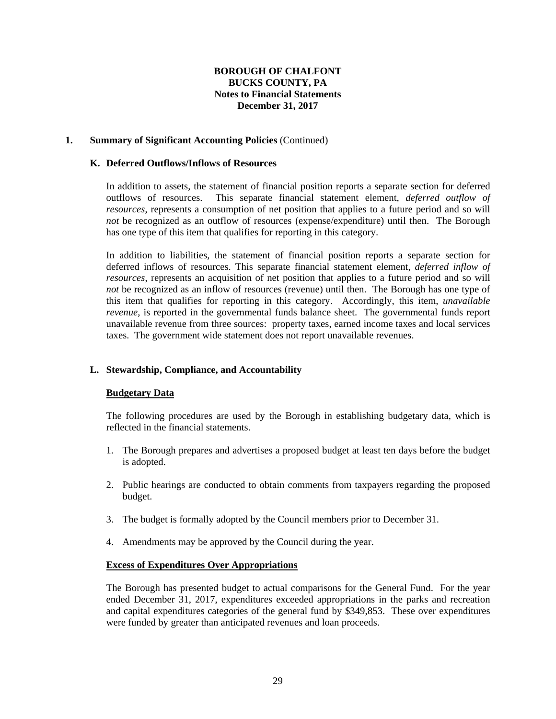### **1. Summary of Significant Accounting Policies** (Continued)

#### **K. Deferred Outflows/Inflows of Resources**

 In addition to assets, the statement of financial position reports a separate section for deferred outflows of resources. This separate financial statement element, *deferred outflow of resources*, represents a consumption of net position that applies to a future period and so will *not* be recognized as an outflow of resources (expense/expenditure) until then. The Borough has one type of this item that qualifies for reporting in this category.

 In addition to liabilities, the statement of financial position reports a separate section for deferred inflows of resources. This separate financial statement element, *deferred inflow of resources*, represents an acquisition of net position that applies to a future period and so will *not* be recognized as an inflow of resources (revenue) until then. The Borough has one type of this item that qualifies for reporting in this category. Accordingly, this item, *unavailable revenue*, is reported in the governmental funds balance sheet. The governmental funds report unavailable revenue from three sources: property taxes, earned income taxes and local services taxes. The government wide statement does not report unavailable revenues.

## **L. Stewardship, Compliance, and Accountability**

## **Budgetary Data**

The following procedures are used by the Borough in establishing budgetary data, which is reflected in the financial statements.

- 1. The Borough prepares and advertises a proposed budget at least ten days before the budget is adopted.
- 2. Public hearings are conducted to obtain comments from taxpayers regarding the proposed budget.
- 3. The budget is formally adopted by the Council members prior to December 31.
- 4. Amendments may be approved by the Council during the year.

#### **Excess of Expenditures Over Appropriations**

 The Borough has presented budget to actual comparisons for the General Fund. For the year ended December 31, 2017, expenditures exceeded appropriations in the parks and recreation and capital expenditures categories of the general fund by \$349,853. These over expenditures were funded by greater than anticipated revenues and loan proceeds.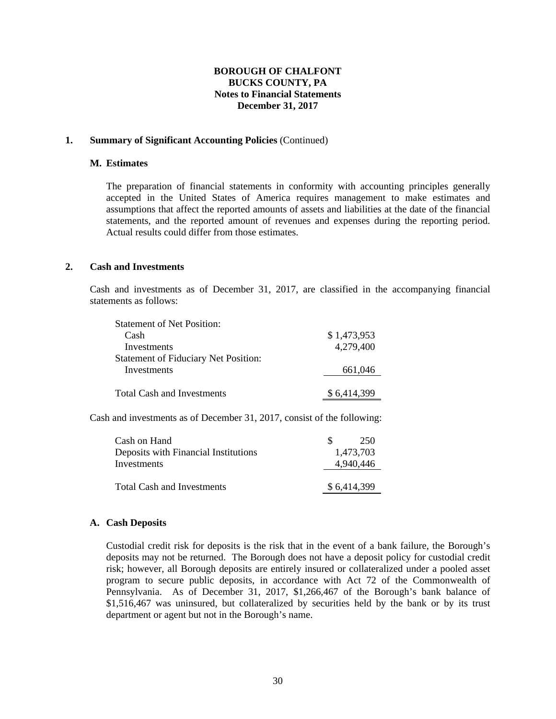#### **1. Summary of Significant Accounting Policies** (Continued)

#### **M. Estimates**

 The preparation of financial statements in conformity with accounting principles generally accepted in the United States of America requires management to make estimates and assumptions that affect the reported amounts of assets and liabilities at the date of the financial statements, and the reported amount of revenues and expenses during the reporting period. Actual results could differ from those estimates.

#### **2. Cash and Investments**

Cash and investments as of December 31, 2017, are classified in the accompanying financial statements as follows:

| <b>Statement of Net Position:</b>           |             |
|---------------------------------------------|-------------|
| Cash                                        | \$1,473,953 |
| Investments                                 | 4,279,400   |
| <b>Statement of Fiduciary Net Position:</b> |             |
| Investments                                 | 661,046     |
|                                             |             |
| <b>Total Cash and Investments</b>           | \$6.414.399 |

Cash and investments as of December 31, 2017, consist of the following:

| Cash on Hand                         | 250<br>SS.  |
|--------------------------------------|-------------|
| Deposits with Financial Institutions | 1,473,703   |
| Investments                          | 4.940.446   |
| Total Cash and Investments           | \$6,414,399 |

## **A. Cash Deposits**

Custodial credit risk for deposits is the risk that in the event of a bank failure, the Borough's deposits may not be returned. The Borough does not have a deposit policy for custodial credit risk; however, all Borough deposits are entirely insured or collateralized under a pooled asset program to secure public deposits, in accordance with Act 72 of the Commonwealth of Pennsylvania. As of December 31, 2017, \$1,266,467 of the Borough's bank balance of \$1,516,467 was uninsured, but collateralized by securities held by the bank or by its trust department or agent but not in the Borough's name.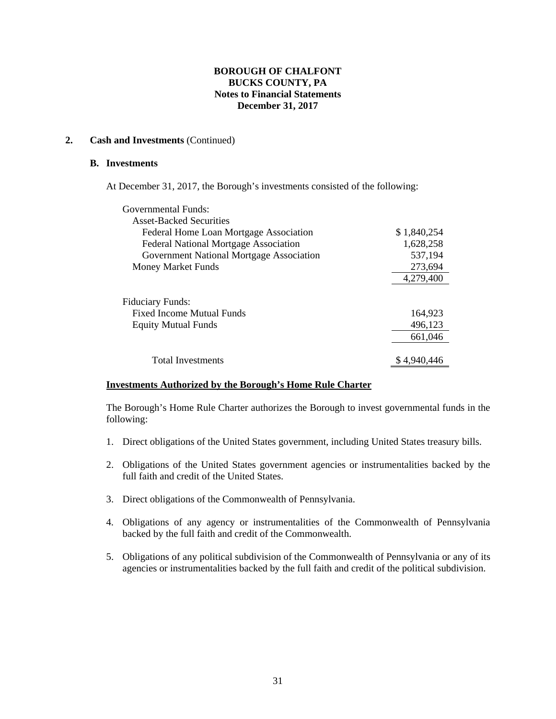## **2. Cash and Investments** (Continued)

#### **B. Investments**

At December 31, 2017, the Borough's investments consisted of the following:

| Governmental Funds:                          |             |
|----------------------------------------------|-------------|
| <b>Asset-Backed Securities</b>               |             |
| Federal Home Loan Mortgage Association       | \$1,840,254 |
| <b>Federal National Mortgage Association</b> | 1,628,258   |
| Government National Mortgage Association     | 537,194     |
| <b>Money Market Funds</b>                    | 273,694     |
|                                              | 4,279,400   |
| Fiduciary Funds:                             |             |
| <b>Fixed Income Mutual Funds</b>             | 164,923     |
| <b>Equity Mutual Funds</b>                   | 496,123     |
|                                              | 661,046     |
|                                              |             |
| <b>Total Investments</b>                     | \$4,940,446 |

## **Investments Authorized by the Borough's Home Rule Charter**

The Borough's Home Rule Charter authorizes the Borough to invest governmental funds in the following:

- 1. Direct obligations of the United States government, including United States treasury bills.
- 2. Obligations of the United States government agencies or instrumentalities backed by the full faith and credit of the United States.
- 3. Direct obligations of the Commonwealth of Pennsylvania.
- 4. Obligations of any agency or instrumentalities of the Commonwealth of Pennsylvania backed by the full faith and credit of the Commonwealth.
- 5. Obligations of any political subdivision of the Commonwealth of Pennsylvania or any of its agencies or instrumentalities backed by the full faith and credit of the political subdivision.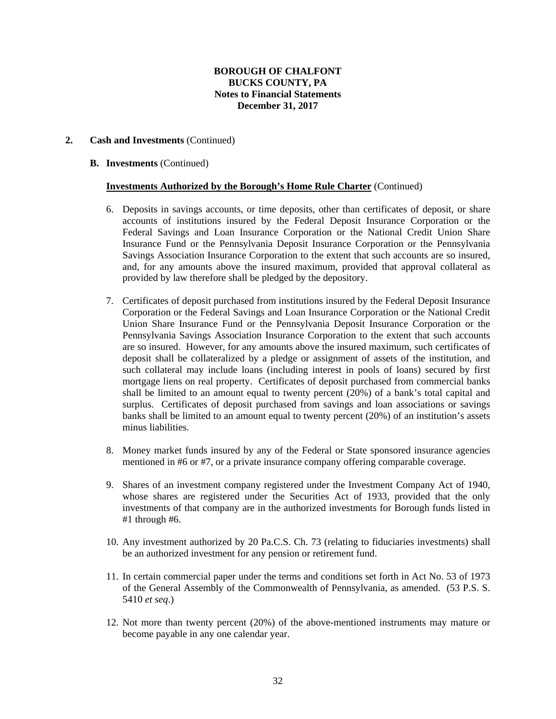### **2. Cash and Investments** (Continued)

#### **B. Investments** (Continued)

#### **Investments Authorized by the Borough's Home Rule Charter** (Continued)

- 6. Deposits in savings accounts, or time deposits, other than certificates of deposit, or share accounts of institutions insured by the Federal Deposit Insurance Corporation or the Federal Savings and Loan Insurance Corporation or the National Credit Union Share Insurance Fund or the Pennsylvania Deposit Insurance Corporation or the Pennsylvania Savings Association Insurance Corporation to the extent that such accounts are so insured, and, for any amounts above the insured maximum, provided that approval collateral as provided by law therefore shall be pledged by the depository.
- 7. Certificates of deposit purchased from institutions insured by the Federal Deposit Insurance Corporation or the Federal Savings and Loan Insurance Corporation or the National Credit Union Share Insurance Fund or the Pennsylvania Deposit Insurance Corporation or the Pennsylvania Savings Association Insurance Corporation to the extent that such accounts are so insured. However, for any amounts above the insured maximum, such certificates of deposit shall be collateralized by a pledge or assignment of assets of the institution, and such collateral may include loans (including interest in pools of loans) secured by first mortgage liens on real property. Certificates of deposit purchased from commercial banks shall be limited to an amount equal to twenty percent (20%) of a bank's total capital and surplus. Certificates of deposit purchased from savings and loan associations or savings banks shall be limited to an amount equal to twenty percent (20%) of an institution's assets minus liabilities.
- 8. Money market funds insured by any of the Federal or State sponsored insurance agencies mentioned in #6 or #7, or a private insurance company offering comparable coverage.
- 9. Shares of an investment company registered under the Investment Company Act of 1940, whose shares are registered under the Securities Act of 1933, provided that the only investments of that company are in the authorized investments for Borough funds listed in #1 through #6.
- 10. Any investment authorized by 20 Pa.C.S. Ch. 73 (relating to fiduciaries investments) shall be an authorized investment for any pension or retirement fund.
- 11. In certain commercial paper under the terms and conditions set forth in Act No. 53 of 1973 of the General Assembly of the Commonwealth of Pennsylvania, as amended. (53 P.S. S. 5410 *et seq*.)
- 12. Not more than twenty percent (20%) of the above-mentioned instruments may mature or become payable in any one calendar year.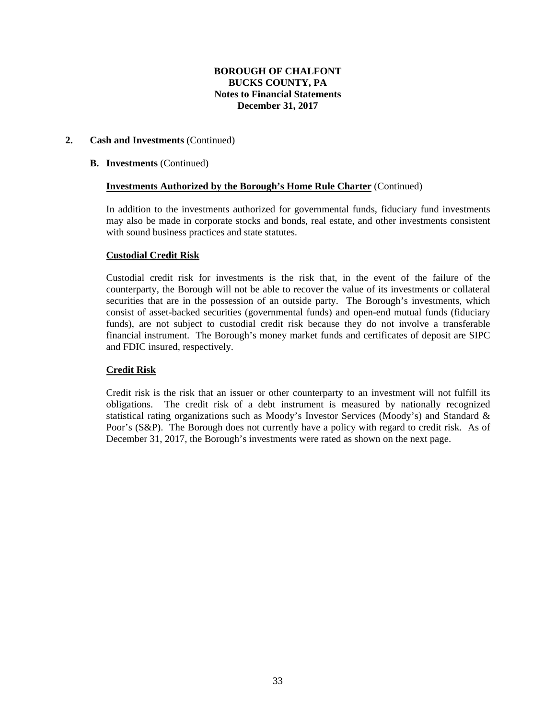### **2. Cash and Investments** (Continued)

#### **B. Investments** (Continued)

#### **Investments Authorized by the Borough's Home Rule Charter** (Continued)

In addition to the investments authorized for governmental funds, fiduciary fund investments may also be made in corporate stocks and bonds, real estate, and other investments consistent with sound business practices and state statutes.

#### **Custodial Credit Risk**

Custodial credit risk for investments is the risk that, in the event of the failure of the counterparty, the Borough will not be able to recover the value of its investments or collateral securities that are in the possession of an outside party. The Borough's investments, which consist of asset-backed securities (governmental funds) and open-end mutual funds (fiduciary funds), are not subject to custodial credit risk because they do not involve a transferable financial instrument. The Borough's money market funds and certificates of deposit are SIPC and FDIC insured, respectively.

## **Credit Risk**

Credit risk is the risk that an issuer or other counterparty to an investment will not fulfill its obligations. The credit risk of a debt instrument is measured by nationally recognized statistical rating organizations such as Moody's Investor Services (Moody's) and Standard & Poor's (S&P). The Borough does not currently have a policy with regard to credit risk. As of December 31, 2017, the Borough's investments were rated as shown on the next page.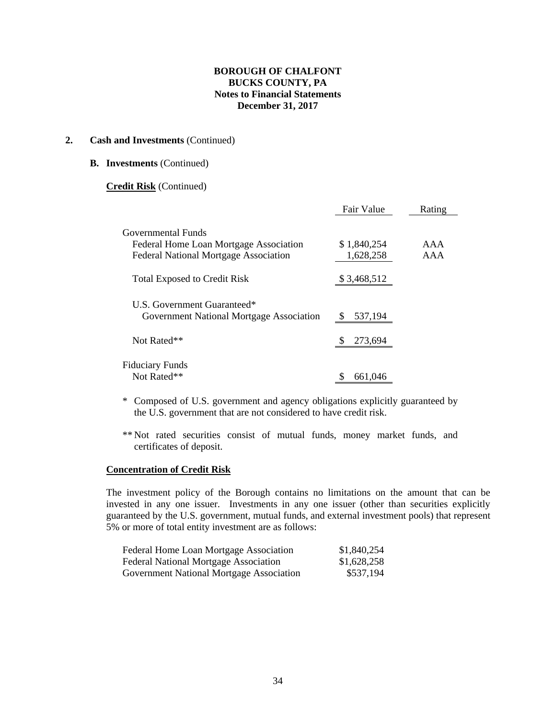#### **2. Cash and Investments** (Continued)

#### **B. Investments** (Continued)

#### **Credit Risk** (Continued)

|                                              | Fair Value  | Rating |
|----------------------------------------------|-------------|--------|
| Governmental Funds                           |             |        |
| Federal Home Loan Mortgage Association       | \$1,840,254 | AAA    |
| <b>Federal National Mortgage Association</b> | 1,628,258   | AAA    |
| <b>Total Exposed to Credit Risk</b>          | \$3,468,512 |        |
| U.S. Government Guaranteed*                  |             |        |
| Government National Mortgage Association     | 537,194     |        |
| Not Rated**                                  | 273,694     |        |
| <b>Fiduciary Funds</b>                       |             |        |
| Not Rated**                                  | 661.046     |        |

- \* Composed of U.S. government and agency obligations explicitly guaranteed by the U.S. government that are not considered to have credit risk.
- \*\* Not rated securities consist of mutual funds, money market funds, and certificates of deposit.

#### **Concentration of Credit Risk**

The investment policy of the Borough contains no limitations on the amount that can be invested in any one issuer. Investments in any one issuer (other than securities explicitly guaranteed by the U.S. government, mutual funds, and external investment pools) that represent 5% or more of total entity investment are as follows:

| Federal Home Loan Mortgage Association       | \$1,840,254 |
|----------------------------------------------|-------------|
| <b>Federal National Mortgage Association</b> | \$1,628,258 |
| Government National Mortgage Association     | \$537,194   |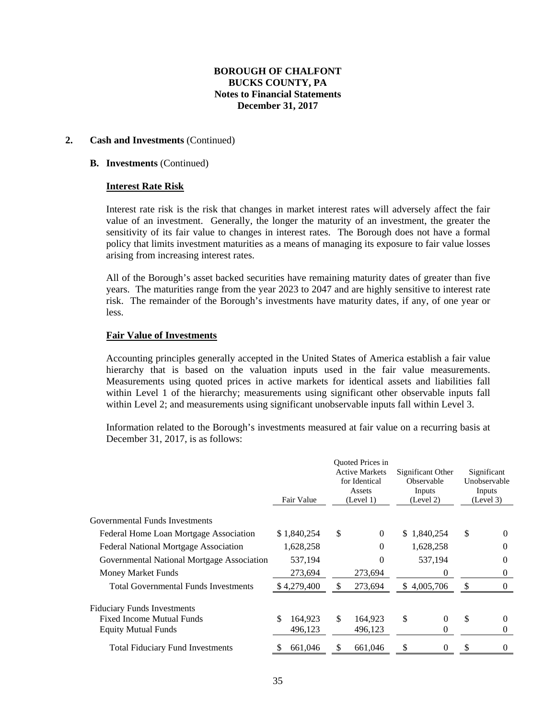### **2. Cash and Investments** (Continued)

#### **B. Investments** (Continued)

#### **Interest Rate Risk**

Interest rate risk is the risk that changes in market interest rates will adversely affect the fair value of an investment. Generally, the longer the maturity of an investment, the greater the sensitivity of its fair value to changes in interest rates. The Borough does not have a formal policy that limits investment maturities as a means of managing its exposure to fair value losses arising from increasing interest rates.

All of the Borough's asset backed securities have remaining maturity dates of greater than five years. The maturities range from the year 2023 to 2047 and are highly sensitive to interest rate risk. The remainder of the Borough's investments have maturity dates, if any, of one year or less.

#### **Fair Value of Investments**

Accounting principles generally accepted in the United States of America establish a fair value hierarchy that is based on the valuation inputs used in the fair value measurements. Measurements using quoted prices in active markets for identical assets and liabilities fall within Level 1 of the hierarchy; measurements using significant other observable inputs fall within Level 2; and measurements using significant unobservable inputs fall within Level 3.

Information related to the Borough's investments measured at fair value on a recurring basis at December 31, 2017, is as follows:

|                                             | Fair Value    |    | <b>Ouoted Prices in</b><br><b>Active Markets</b><br>for Identical<br>Assets<br>(Level 1) |    | Significant Other<br>Observable<br>Inputs<br>(Level 2) |               | Significant<br>Unobservable<br>Inputs<br>(Level 3) |
|---------------------------------------------|---------------|----|------------------------------------------------------------------------------------------|----|--------------------------------------------------------|---------------|----------------------------------------------------|
| Governmental Funds Investments              |               |    |                                                                                          |    |                                                        |               |                                                    |
| Federal Home Loan Mortgage Association      | \$1,840,254   | \$ | $\Omega$                                                                                 |    | \$1,840,254                                            | \$            | $\Omega$                                           |
| Federal National Mortgage Association       | 1,628,258     |    | 0                                                                                        |    | 1,628,258                                              |               | 0                                                  |
| Governmental National Mortgage Association  | 537,194       |    | 0                                                                                        |    | 537,194                                                |               | $\theta$                                           |
| Money Market Funds                          | 273,694       |    | 273.694                                                                                  |    | $\Omega$                                               |               | 0                                                  |
| <b>Total Governmental Funds Investments</b> | \$4,279,400   | S  | 273,694                                                                                  |    | \$4,005,706                                            | $\mathcal{S}$ | $\mathbf{0}$                                       |
| <b>Fiduciary Funds Investments</b>          |               |    |                                                                                          |    |                                                        |               |                                                    |
| <b>Fixed Income Mutual Funds</b>            | \$<br>164,923 | \$ | 164,923                                                                                  | \$ | $\theta$                                               | \$            | $\theta$                                           |
| <b>Equity Mutual Funds</b>                  | 496,123       |    | 496,123                                                                                  |    | 0                                                      |               | 0                                                  |
| <b>Total Fiduciary Fund Investments</b>     | 661,046       | S  | 661,046                                                                                  | S  | $\theta$                                               |               | 0                                                  |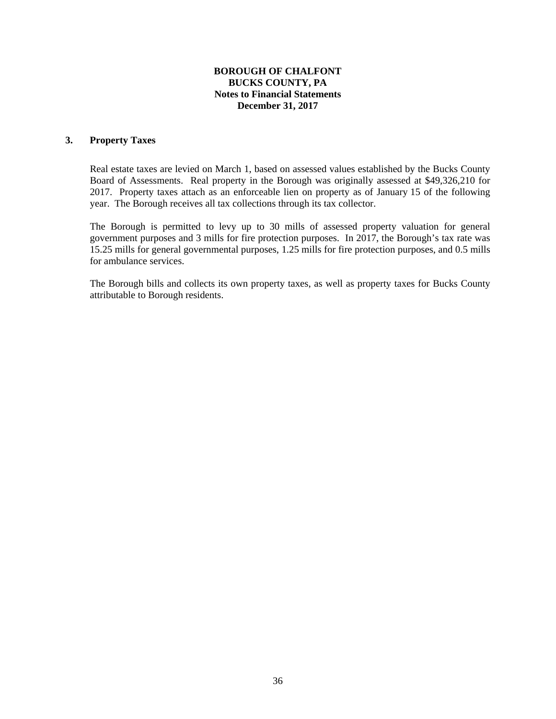#### **3. Property Taxes**

Real estate taxes are levied on March 1, based on assessed values established by the Bucks County Board of Assessments. Real property in the Borough was originally assessed at \$49,326,210 for 2017. Property taxes attach as an enforceable lien on property as of January 15 of the following year. The Borough receives all tax collections through its tax collector.

The Borough is permitted to levy up to 30 mills of assessed property valuation for general government purposes and 3 mills for fire protection purposes. In 2017, the Borough's tax rate was 15.25 mills for general governmental purposes, 1.25 mills for fire protection purposes, and 0.5 mills for ambulance services.

The Borough bills and collects its own property taxes, as well as property taxes for Bucks County attributable to Borough residents.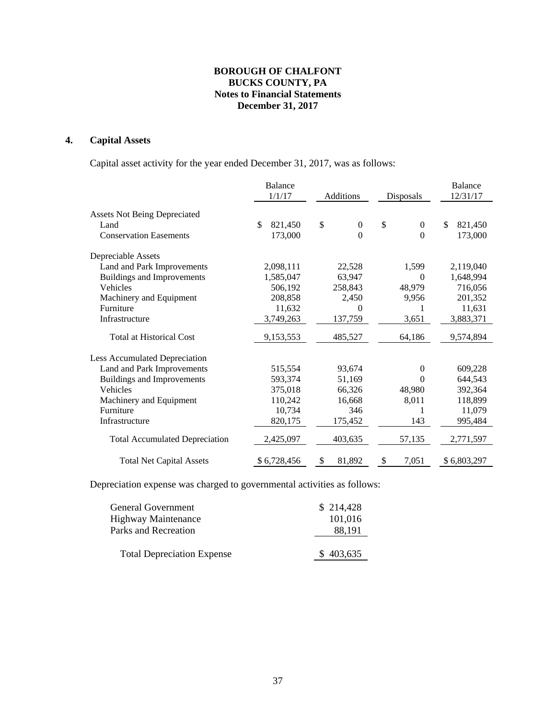## **4. Capital Assets**

Capital asset activity for the year ended December 31, 2017, was as follows:

|                                       | Balance       |                        |                       | <b>Balance</b> |
|---------------------------------------|---------------|------------------------|-----------------------|----------------|
|                                       | 1/1/17        | Additions              | 12/31/17<br>Disposals |                |
| <b>Assets Not Being Depreciated</b>   |               |                        |                       |                |
| Land                                  | \$<br>821,450 | \$<br>$\boldsymbol{0}$ | \$<br>$\theta$        | \$<br>821,450  |
| <b>Conservation Easements</b>         | 173,000       | $\overline{0}$         | $\Omega$              | 173,000        |
| Depreciable Assets                    |               |                        |                       |                |
| Land and Park Improvements            | 2,098,111     | 22,528                 | 1,599                 | 2,119,040      |
| Buildings and Improvements            | 1,585,047     | 63,947                 | $\Omega$              | 1,648,994      |
| Vehicles                              | 506,192       | 258,843                | 48,979                | 716,056        |
| Machinery and Equipment               | 208,858       | 2,450                  | 9,956                 | 201,352        |
| Furniture                             | 11,632        | 0                      |                       | 11,631         |
| Infrastructure                        | 3,749,263     | 137,759                | 3,651                 | 3,883,371      |
| <b>Total at Historical Cost</b>       | 9,153,553     | 485,527                | 64,186                | 9,574,894      |
| Less Accumulated Depreciation         |               |                        |                       |                |
| Land and Park Improvements            | 515,554       | 93,674                 | $\Omega$              | 609,228        |
| <b>Buildings and Improvements</b>     | 593,374       | 51,169                 | $\Omega$              | 644,543        |
| Vehicles                              | 375,018       | 66,326                 | 48,980                | 392,364        |
| Machinery and Equipment               | 110,242       | 16,668                 | 8,011                 | 118,899        |
| Furniture                             | 10,734        | 346                    | 1                     | 11,079         |
| Infrastructure                        | 820,175       | 175,452                | 143                   | 995,484        |
| <b>Total Accumulated Depreciation</b> | 2,425,097     | 403,635                | 57,135                | 2,771,597      |
| <b>Total Net Capital Assets</b>       | \$6,728,456   | \$<br>81,892           | \$<br>7,051           | \$6,803,297    |

Depreciation expense was charged to governmental activities as follows:

| General Government<br><b>Highway Maintenance</b> | \$214,428<br>101,016 |
|--------------------------------------------------|----------------------|
| Parks and Recreation                             | 88,191               |
| <b>Total Depreciation Expense</b>                | \$403,635            |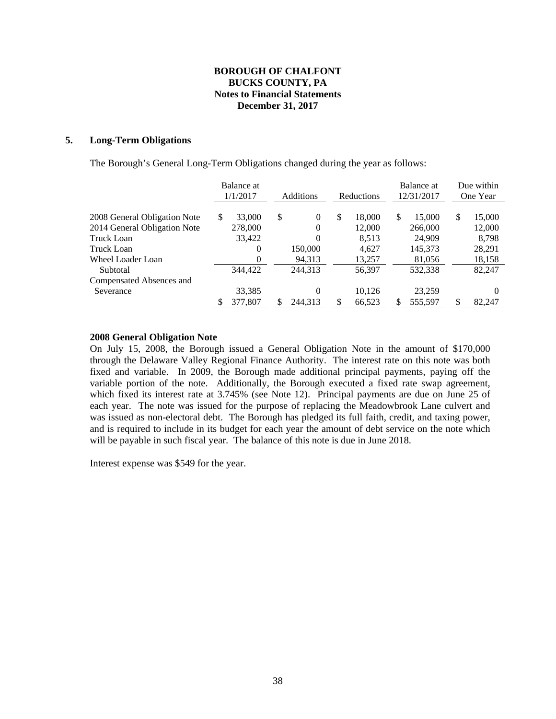#### **5. Long-Term Obligations**

The Borough's General Long-Term Obligations changed during the year as follows:

|                              | Balance at<br>1/1/2017 | Additions<br>Reductions |              | Balance at<br>12/31/2017 | Due within<br>One Year |  |
|------------------------------|------------------------|-------------------------|--------------|--------------------------|------------------------|--|
|                              |                        |                         |              |                          |                        |  |
| 2008 General Obligation Note | 33,000<br>S            | \$<br>$\Omega$          | \$<br>18,000 | \$<br>15,000             | \$<br>15,000           |  |
| 2014 General Obligation Note | 278,000                | 0                       | 12,000       | 266,000                  | 12,000                 |  |
| Truck Loan                   | 33,422                 | 0                       | 8,513        | 24,909                   | 8,798                  |  |
| Truck Loan                   | 0                      | 150,000                 | 4,627        | 145,373                  | 28,291                 |  |
| <b>Wheel Loader Loan</b>     | 0                      | 94,313                  | 13,257       | 81,056                   | 18,158                 |  |
| Subtotal                     | 344,422                | 244,313                 | 56,397       | 532.338                  | 82,247                 |  |
| Compensated Absences and     |                        |                         |              |                          |                        |  |
| Severance                    | 33,385                 | 0                       | 10,126       | 23,259                   |                        |  |
|                              | 377,807                | 244.313                 | 66,523       | 555,597                  | 82,247                 |  |

#### **2008 General Obligation Note**

On July 15, 2008, the Borough issued a General Obligation Note in the amount of \$170,000 through the Delaware Valley Regional Finance Authority. The interest rate on this note was both fixed and variable. In 2009, the Borough made additional principal payments, paying off the variable portion of the note. Additionally, the Borough executed a fixed rate swap agreement, which fixed its interest rate at 3.745% (see Note 12). Principal payments are due on June 25 of each year. The note was issued for the purpose of replacing the Meadowbrook Lane culvert and was issued as non-electoral debt. The Borough has pledged its full faith, credit, and taxing power, and is required to include in its budget for each year the amount of debt service on the note which will be payable in such fiscal year. The balance of this note is due in June 2018.

Interest expense was \$549 for the year.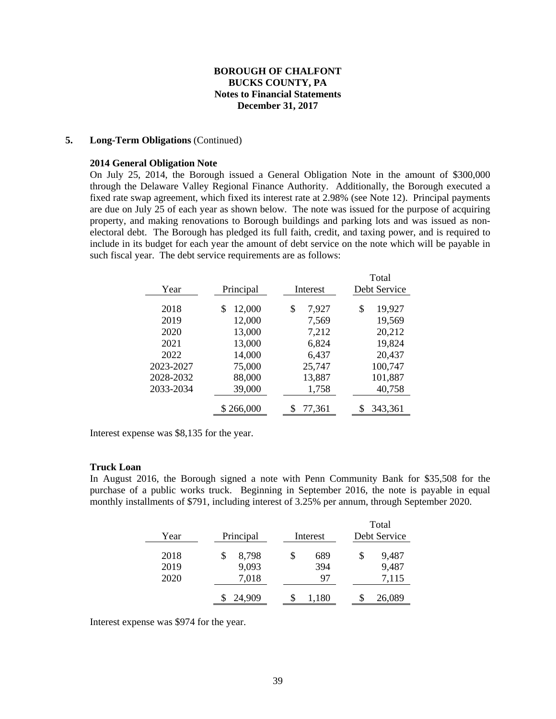### **5. Long-Term Obligations** (Continued)

#### **2014 General Obligation Note**

On July 25, 2014, the Borough issued a General Obligation Note in the amount of \$300,000 through the Delaware Valley Regional Finance Authority. Additionally, the Borough executed a fixed rate swap agreement, which fixed its interest rate at 2.98% (see Note 12). Principal payments are due on July 25 of each year as shown below. The note was issued for the purpose of acquiring property, and making renovations to Borough buildings and parking lots and was issued as nonelectoral debt. The Borough has pledged its full faith, credit, and taxing power, and is required to include in its budget for each year the amount of debt service on the note which will be payable in such fiscal year. The debt service requirements are as follows:

|           |              |             | Total        |
|-----------|--------------|-------------|--------------|
| Year      | Principal    | Interest    | Debt Service |
| 2018      | 12,000<br>\$ | \$<br>7,927 | 19,927<br>\$ |
| 2019      | 12,000       | 7,569       | 19,569       |
| 2020      | 13,000       | 7,212       | 20,212       |
| 2021      | 13,000       | 6,824       | 19,824       |
| 2022      | 14,000       | 6,437       | 20,437       |
| 2023-2027 | 75,000       | 25,747      | 100,747      |
| 2028-2032 | 88,000       | 13,887      | 101,887      |
| 2033-2034 | 39,000       | 1,758       | 40,758       |
|           | \$266,000    | 77,361      | 343,361      |

Interest expense was \$8,135 for the year.

#### **Truck Loan**

In August 2016, the Borough signed a note with Penn Community Bank for \$35,508 for the purchase of a public works truck. Beginning in September 2016, the note is payable in equal monthly installments of \$791, including interest of 3.25% per annum, through September 2020.

|      |           |           | Total        |
|------|-----------|-----------|--------------|
| Year | Principal | Interest  | Debt Service |
| 2018 | 8,798     | \$<br>689 | 9,487<br>S   |
| 2019 | 9,093     | 394       | 9,487        |
| 2020 | 7,018     | 97        | 7,115        |
|      | 24,909    | 1,180     | 26,089       |

Interest expense was \$974 for the year.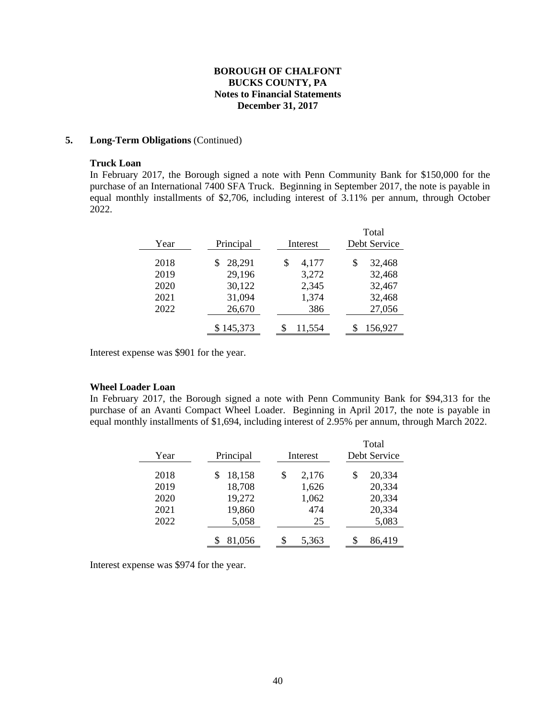#### **5. Long-Term Obligations** (Continued)

#### **Truck Loan**

In February 2017, the Borough signed a note with Penn Community Bank for \$150,000 for the purchase of an International 7400 SFA Truck. Beginning in September 2017, the note is payable in equal monthly installments of \$2,706, including interest of 3.11% per annum, through October 2022.

| Year | Principal | Interest    | Total<br>Debt Service |
|------|-----------|-------------|-----------------------|
| 2018 | 28,291    | \$<br>4,177 | \$<br>32,468          |
| 2019 | 29,196    | 3,272       | 32,468                |
| 2020 | 30,122    | 2,345       | 32,467                |
| 2021 | 31,094    | 1,374       | 32,468                |
| 2022 | 26,670    | 386         | 27,056                |
|      | \$145,373 | 11,554      | 156,927               |

Interest expense was \$901 for the year.

#### **Wheel Loader Loan**

In February 2017, the Borough signed a note with Penn Community Bank for \$94,313 for the purchase of an Avanti Compact Wheel Loader. Beginning in April 2017, the note is payable in equal monthly installments of \$1,694, including interest of 2.95% per annum, through March 2022.

| Year | Principal | Interest    | Total<br>Debt Service |
|------|-----------|-------------|-----------------------|
| 2018 | 18,158    | \$<br>2,176 | 20,334<br>\$          |
| 2019 | 18,708    | 1,626       | 20,334                |
| 2020 | 19,272    | 1,062       | 20,334                |
| 2021 | 19,860    | 474         | 20,334                |
| 2022 | 5,058     | 25          | 5,083                 |
|      | 81,056    | \$<br>5,363 | 86,419<br>S           |

Interest expense was \$974 for the year.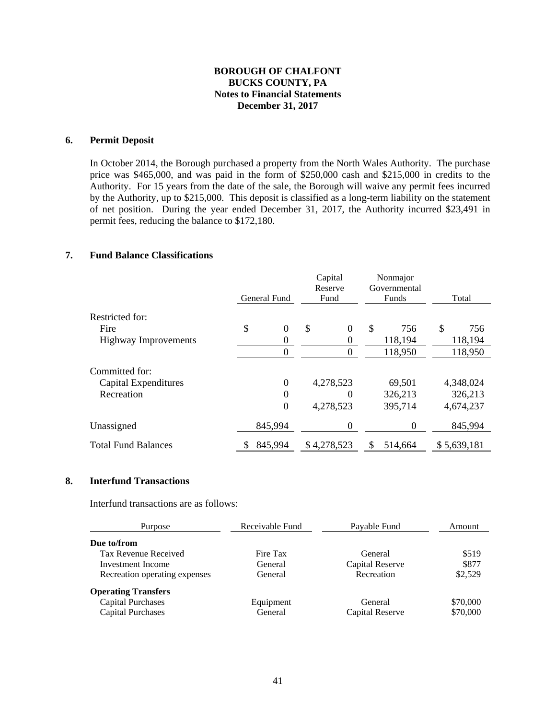## **6. Permit Deposit**

In October 2014, the Borough purchased a property from the North Wales Authority. The purchase price was \$465,000, and was paid in the form of \$250,000 cash and \$215,000 in credits to the Authority. For 15 years from the date of the sale, the Borough will waive any permit fees incurred by the Authority, up to \$215,000. This deposit is classified as a long-term liability on the statement of net position. During the year ended December 31, 2017, the Authority incurred \$23,491 in permit fees, reducing the balance to \$172,180.

## **7. Fund Balance Classifications**

|                             |                      | Capital<br>Reserve     |               | Nonmajor<br>Governmental |             |
|-----------------------------|----------------------|------------------------|---------------|--------------------------|-------------|
|                             | General Fund         | Fund                   |               | Funds                    | Total       |
| Restricted for:             |                      |                        |               |                          |             |
| Fire                        | \$<br>$\overline{0}$ | \$<br>$\boldsymbol{0}$ | $\mathcal{S}$ | 756                      | \$<br>756   |
| <b>Highway Improvements</b> | 0                    | 0                      |               | 118,194                  | 118,194     |
|                             | 0                    | $\boldsymbol{0}$       |               | 118,950                  | 118,950     |
| Committed for:              |                      |                        |               |                          |             |
| Capital Expenditures        | $\overline{0}$       | 4,278,523              |               | 69,501                   | 4,348,024   |
| Recreation                  | 0                    | 0                      |               | 326,213                  | 326,213     |
|                             | $\theta$             | 4,278,523              |               | 395,714                  | 4,674,237   |
| Unassigned                  | 845,994              | $\boldsymbol{0}$       |               | $\boldsymbol{0}$         | 845,994     |
| <b>Total Fund Balances</b>  | 845,994              | \$4,278,523            | \$            | 514,664                  | \$5,639,181 |

#### **8. Interfund Transactions**

Interfund transactions are as follows:

| Purpose                       | Receivable Fund | Payable Fund    | Amount   |
|-------------------------------|-----------------|-----------------|----------|
| Due to/from                   |                 |                 |          |
| Tax Revenue Received          | Fire Tax        | General         | \$519    |
| Investment Income             | General         | Capital Reserve | \$877    |
| Recreation operating expenses | General         | Recreation      | \$2,529  |
| <b>Operating Transfers</b>    |                 |                 |          |
| <b>Capital Purchases</b>      | Equipment       | General         | \$70,000 |
| <b>Capital Purchases</b>      | General         | Capital Reserve | \$70,000 |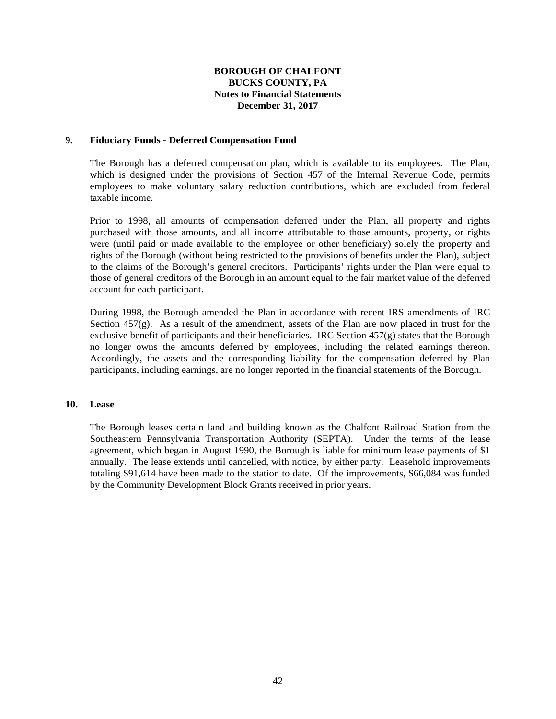#### **9. Fiduciary Funds - Deferred Compensation Fund**

 The Borough has a deferred compensation plan, which is available to its employees. The Plan, which is designed under the provisions of Section 457 of the Internal Revenue Code, permits employees to make voluntary salary reduction contributions, which are excluded from federal taxable income.

 Prior to 1998, all amounts of compensation deferred under the Plan, all property and rights purchased with those amounts, and all income attributable to those amounts, property, or rights were (until paid or made available to the employee or other beneficiary) solely the property and rights of the Borough (without being restricted to the provisions of benefits under the Plan), subject to the claims of the Borough's general creditors. Participants' rights under the Plan were equal to those of general creditors of the Borough in an amount equal to the fair market value of the deferred account for each participant.

 During 1998, the Borough amended the Plan in accordance with recent IRS amendments of IRC Section 457(g). As a result of the amendment, assets of the Plan are now placed in trust for the exclusive benefit of participants and their beneficiaries. IRC Section  $457(g)$  states that the Borough no longer owns the amounts deferred by employees, including the related earnings thereon. Accordingly, the assets and the corresponding liability for the compensation deferred by Plan participants, including earnings, are no longer reported in the financial statements of the Borough.

#### **10. Lease**

 The Borough leases certain land and building known as the Chalfont Railroad Station from the Southeastern Pennsylvania Transportation Authority (SEPTA). Under the terms of the lease agreement, which began in August 1990, the Borough is liable for minimum lease payments of \$1 annually. The lease extends until cancelled, with notice, by either party. Leasehold improvements totaling \$91,614 have been made to the station to date. Of the improvements, \$66,084 was funded by the Community Development Block Grants received in prior years.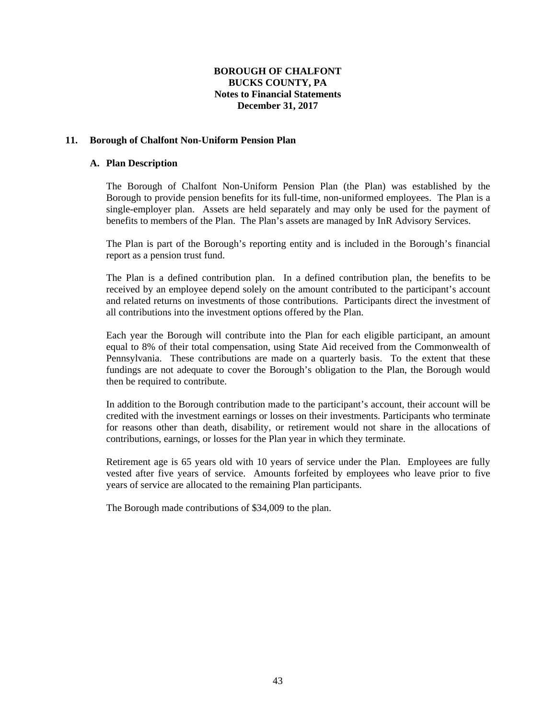### **11. Borough of Chalfont Non-Uniform Pension Plan**

#### **A. Plan Description**

 The Borough of Chalfont Non-Uniform Pension Plan (the Plan) was established by the Borough to provide pension benefits for its full-time, non-uniformed employees. The Plan is a single-employer plan. Assets are held separately and may only be used for the payment of benefits to members of the Plan. The Plan's assets are managed by InR Advisory Services.

The Plan is part of the Borough's reporting entity and is included in the Borough's financial report as a pension trust fund.

The Plan is a defined contribution plan. In a defined contribution plan, the benefits to be received by an employee depend solely on the amount contributed to the participant's account and related returns on investments of those contributions. Participants direct the investment of all contributions into the investment options offered by the Plan.

Each year the Borough will contribute into the Plan for each eligible participant, an amount equal to 8% of their total compensation, using State Aid received from the Commonwealth of Pennsylvania. These contributions are made on a quarterly basis. To the extent that these fundings are not adequate to cover the Borough's obligation to the Plan, the Borough would then be required to contribute.

In addition to the Borough contribution made to the participant's account, their account will be credited with the investment earnings or losses on their investments. Participants who terminate for reasons other than death, disability, or retirement would not share in the allocations of contributions, earnings, or losses for the Plan year in which they terminate.

Retirement age is 65 years old with 10 years of service under the Plan. Employees are fully vested after five years of service. Amounts forfeited by employees who leave prior to five years of service are allocated to the remaining Plan participants.

The Borough made contributions of \$34,009 to the plan.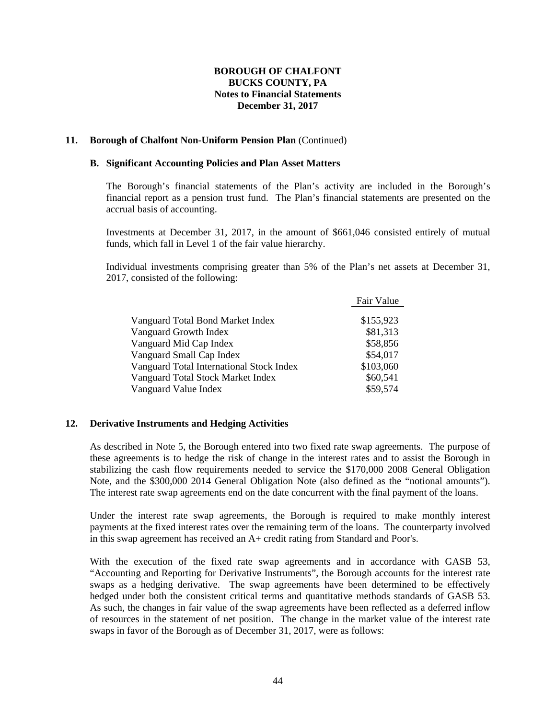#### **11. Borough of Chalfont Non-Uniform Pension Plan** (Continued)

#### **B. Significant Accounting Policies and Plan Asset Matters**

 The Borough's financial statements of the Plan's activity are included in the Borough's financial report as a pension trust fund. The Plan's financial statements are presented on the accrual basis of accounting.

 Investments at December 31, 2017, in the amount of \$661,046 consisted entirely of mutual funds, which fall in Level 1 of the fair value hierarchy.

 Individual investments comprising greater than 5% of the Plan's net assets at December 31, 2017, consisted of the following:

|                                          | Fair Value |
|------------------------------------------|------------|
| Vanguard Total Bond Market Index         | \$155,923  |
| Vanguard Growth Index                    | \$81,313   |
| Vanguard Mid Cap Index                   | \$58,856   |
| Vanguard Small Cap Index                 | \$54,017   |
| Vanguard Total International Stock Index | \$103,060  |
| Vanguard Total Stock Market Index        | \$60,541   |
| Vanguard Value Index                     | \$59,574   |

## **12. Derivative Instruments and Hedging Activities**

As described in Note 5, the Borough entered into two fixed rate swap agreements. The purpose of these agreements is to hedge the risk of change in the interest rates and to assist the Borough in stabilizing the cash flow requirements needed to service the \$170,000 2008 General Obligation Note, and the \$300,000 2014 General Obligation Note (also defined as the "notional amounts"). The interest rate swap agreements end on the date concurrent with the final payment of the loans.

Under the interest rate swap agreements, the Borough is required to make monthly interest payments at the fixed interest rates over the remaining term of the loans. The counterparty involved in this swap agreement has received an A+ credit rating from Standard and Poor's.

With the execution of the fixed rate swap agreements and in accordance with GASB 53, "Accounting and Reporting for Derivative Instruments", the Borough accounts for the interest rate swaps as a hedging derivative. The swap agreements have been determined to be effectively hedged under both the consistent critical terms and quantitative methods standards of GASB 53. As such, the changes in fair value of the swap agreements have been reflected as a deferred inflow of resources in the statement of net position. The change in the market value of the interest rate swaps in favor of the Borough as of December 31, 2017, were as follows: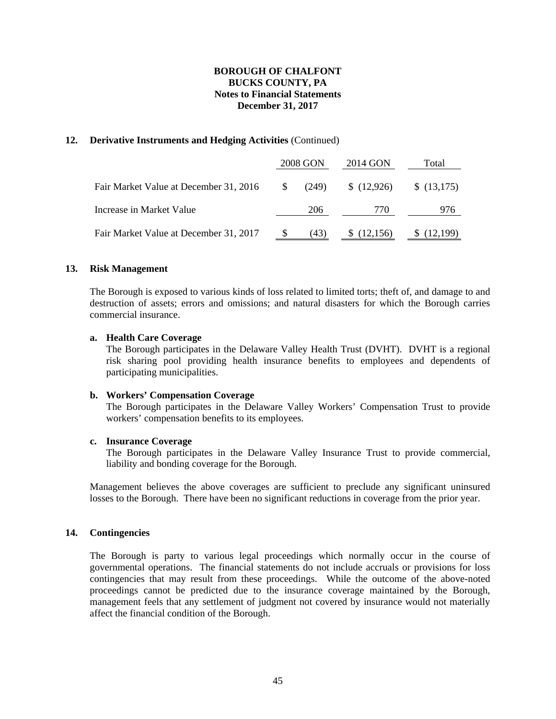### **12. Derivative Instruments and Hedging Activities** (Continued)

|                                        |          | 2008 GON | 2014 GON | Total      |  |  |
|----------------------------------------|----------|----------|----------|------------|--|--|
| Fair Market Value at December 31, 2016 | <b>S</b> | (249)    | (12,926) | \$(13,175) |  |  |
| Increase in Market Value               |          | 206      | 770      | 976        |  |  |
| Fair Market Value at December 31, 2017 |          | (43)     | (12,156) | (12,199)   |  |  |

#### **13. Risk Management**

The Borough is exposed to various kinds of loss related to limited torts; theft of, and damage to and destruction of assets; errors and omissions; and natural disasters for which the Borough carries commercial insurance.

#### **a. Health Care Coverage**

The Borough participates in the Delaware Valley Health Trust (DVHT). DVHT is a regional risk sharing pool providing health insurance benefits to employees and dependents of participating municipalities.

#### **b. Workers' Compensation Coverage**

The Borough participates in the Delaware Valley Workers' Compensation Trust to provide workers' compensation benefits to its employees.

#### **c. Insurance Coverage**

The Borough participates in the Delaware Valley Insurance Trust to provide commercial, liability and bonding coverage for the Borough.

Management believes the above coverages are sufficient to preclude any significant uninsured losses to the Borough. There have been no significant reductions in coverage from the prior year.

#### **14. Contingencies**

The Borough is party to various legal proceedings which normally occur in the course of governmental operations. The financial statements do not include accruals or provisions for loss contingencies that may result from these proceedings. While the outcome of the above-noted proceedings cannot be predicted due to the insurance coverage maintained by the Borough, management feels that any settlement of judgment not covered by insurance would not materially affect the financial condition of the Borough.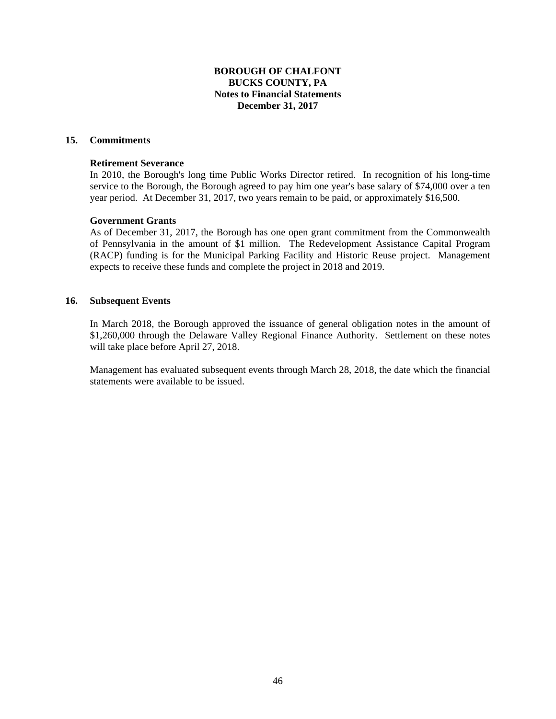## **15. Commitments**

#### **Retirement Severance**

In 2010, the Borough's long time Public Works Director retired. In recognition of his long-time service to the Borough, the Borough agreed to pay him one year's base salary of \$74,000 over a ten year period. At December 31, 2017, two years remain to be paid, or approximately \$16,500.

#### **Government Grants**

As of December 31, 2017, the Borough has one open grant commitment from the Commonwealth of Pennsylvania in the amount of \$1 million. The Redevelopment Assistance Capital Program (RACP) funding is for the Municipal Parking Facility and Historic Reuse project. Management expects to receive these funds and complete the project in 2018 and 2019.

#### **16. Subsequent Events**

In March 2018, the Borough approved the issuance of general obligation notes in the amount of \$1,260,000 through the Delaware Valley Regional Finance Authority. Settlement on these notes will take place before April 27, 2018.

Management has evaluated subsequent events through March 28, 2018, the date which the financial statements were available to be issued.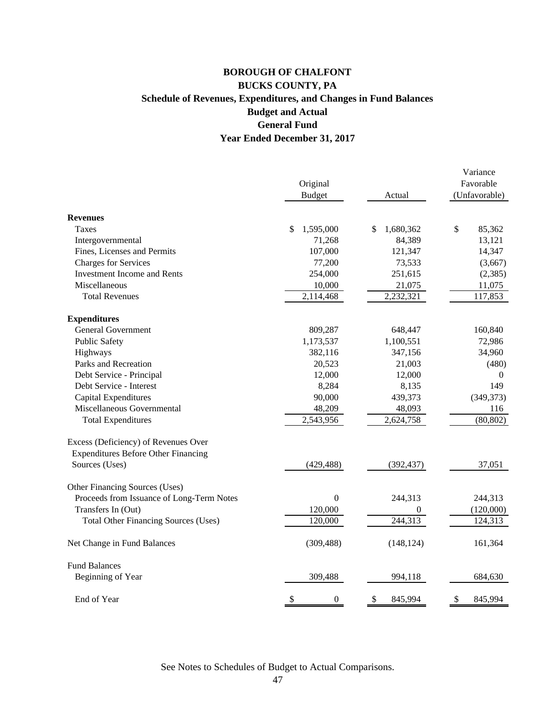# **Year Ended December 31, 2017 BOROUGH OF CHALFONT BUCKS COUNTY, PA Schedule of Revenues, Expenditures, and Changes in Fund Balances Budget and Actual General Fund**

|                                             |                        |                 | Variance         |
|---------------------------------------------|------------------------|-----------------|------------------|
|                                             | Original               |                 | Favorable        |
|                                             | <b>Budget</b>          | Actual          | (Unfavorable)    |
| <b>Revenues</b>                             |                        |                 |                  |
| Taxes                                       | \$<br>1,595,000        | 1,680,362<br>\$ | \$<br>85,362     |
| Intergovernmental                           | 71,268                 | 84,389          | 13,121           |
| Fines, Licenses and Permits                 | 107,000                | 121,347         | 14,347           |
| <b>Charges for Services</b>                 | 77,200                 | 73,533          | (3,667)          |
| <b>Investment Income and Rents</b>          | 254,000                | 251,615         | (2, 385)         |
| Miscellaneous                               | 10,000                 | 21,075          | 11,075           |
| <b>Total Revenues</b>                       | 2,114,468              | 2,232,321       | 117,853          |
| <b>Expenditures</b>                         |                        |                 |                  |
| <b>General Government</b>                   | 809,287                | 648,447         | 160,840          |
| <b>Public Safety</b>                        | 1,173,537              | 1,100,551       | 72,986           |
| Highways                                    | 382,116                | 347,156         | 34,960           |
| Parks and Recreation                        | 20,523                 | 21,003          | (480)            |
| Debt Service - Principal                    | 12,000                 | 12,000          | $\boldsymbol{0}$ |
| Debt Service - Interest                     | 8,284                  | 8,135           | 149              |
| Capital Expenditures                        | 90,000                 | 439,373         | (349, 373)       |
| Miscellaneous Governmental                  | 48,209                 | 48,093          | 116              |
| <b>Total Expenditures</b>                   | 2,543,956              | 2,624,758       | (80, 802)        |
| Excess (Deficiency) of Revenues Over        |                        |                 |                  |
| <b>Expenditures Before Other Financing</b>  |                        |                 |                  |
| Sources (Uses)                              | (429, 488)             | (392, 437)      | 37,051           |
| Other Financing Sources (Uses)              |                        |                 |                  |
| Proceeds from Issuance of Long-Term Notes   | $\overline{0}$         | 244,313         | 244,313          |
| Transfers In (Out)                          | 120,000                | 0               | (120,000)        |
| <b>Total Other Financing Sources (Uses)</b> | 120,000                | 244,313         | 124,313          |
| Net Change in Fund Balances                 | (309, 488)             | (148, 124)      | 161,364          |
| <b>Fund Balances</b>                        |                        |                 |                  |
| Beginning of Year                           | 309,488                | 994,118         | 684,630          |
| End of Year                                 | \$<br>$\boldsymbol{0}$ | \$<br>845,994   | 845,994<br>\$    |

See Notes to Schedules of Budget to Actual Comparisons.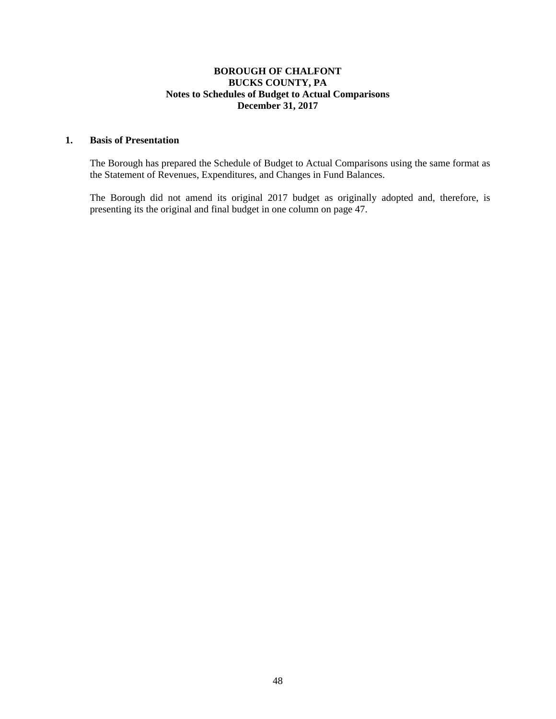## **BOROUGH OF CHALFONT BUCKS COUNTY, PA Notes to Schedules of Budget to Actual Comparisons December 31, 2017**

## **1. Basis of Presentation**

 The Borough has prepared the Schedule of Budget to Actual Comparisons using the same format as the Statement of Revenues, Expenditures, and Changes in Fund Balances.

The Borough did not amend its original 2017 budget as originally adopted and, therefore, is presenting its the original and final budget in one column on page 47.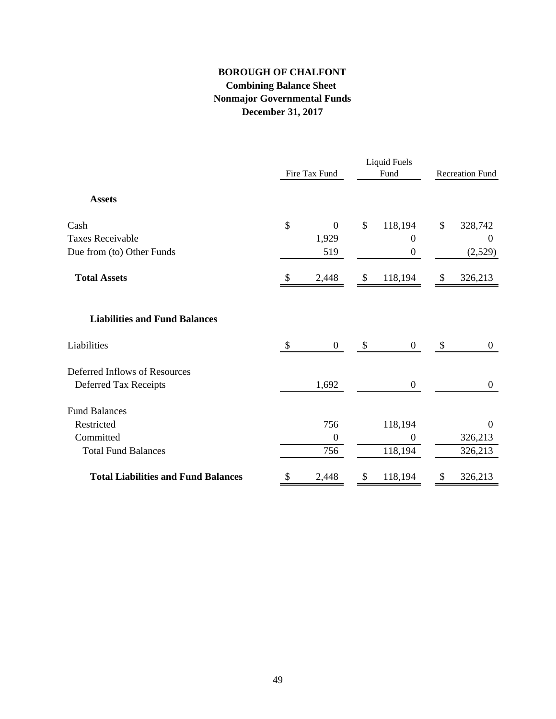# **BOROUGH OF CHALFONT Combining Balance Sheet Nonmajor Governmental Funds December 31, 2017**

|                                            |               | Fire Tax Fund    | <b>Liquid Fuels</b><br>Fund |                  | <b>Recreation Fund</b> |                  |
|--------------------------------------------|---------------|------------------|-----------------------------|------------------|------------------------|------------------|
| <b>Assets</b>                              |               |                  |                             |                  |                        |                  |
| Cash                                       | \$            | $\mathbf{0}$     | \$                          | 118,194          | \$                     | 328,742          |
| <b>Taxes Receivable</b>                    |               | 1,929            |                             | $\boldsymbol{0}$ |                        | $\boldsymbol{0}$ |
| Due from (to) Other Funds                  |               | 519              |                             | $\boldsymbol{0}$ |                        | (2,529)          |
| <b>Total Assets</b>                        | <sup>\$</sup> | 2,448            | \$                          | 118,194          | \$                     | 326,213          |
| <b>Liabilities and Fund Balances</b>       |               |                  |                             |                  |                        |                  |
| Liabilities                                | $\mathcal{S}$ | $\mathbf{0}$     | $\mathcal{S}$               | $\overline{0}$   | $\mathcal{S}$          | $\boldsymbol{0}$ |
| Deferred Inflows of Resources              |               |                  |                             |                  |                        |                  |
| Deferred Tax Receipts                      |               | 1,692            |                             | $\overline{0}$   |                        | $\boldsymbol{0}$ |
| <b>Fund Balances</b>                       |               |                  |                             |                  |                        |                  |
| Restricted                                 |               | 756              |                             | 118,194          |                        | $\boldsymbol{0}$ |
| Committed                                  |               | $\boldsymbol{0}$ |                             | $\overline{0}$   |                        | 326,213          |
| <b>Total Fund Balances</b>                 |               | 756              |                             | 118,194          |                        | 326,213          |
| <b>Total Liabilities and Fund Balances</b> | \$            | 2,448            | \$                          | 118,194          | S                      | 326,213          |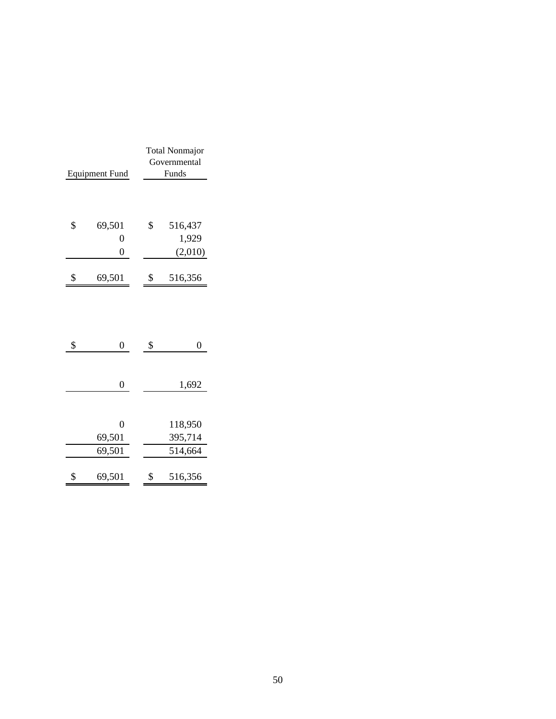| <b>Equipment Fund</b> |                                            | <b>Total Nonmajor</b><br>Governmental<br>Funds |                               |
|-----------------------|--------------------------------------------|------------------------------------------------|-------------------------------|
| \$                    | 69,501<br>$\overline{0}$<br>$\overline{0}$ | \$                                             | 516,437<br>1,929<br>(2,010)   |
| \$                    | 69,501                                     | \$                                             | 516,356                       |
| \$                    | $\overline{0}$                             | \$                                             | $\overline{0}$                |
|                       | 0                                          |                                                | 1,692                         |
|                       | $\overline{0}$<br>69,501<br>69,501         |                                                | 118,950<br>395,714<br>514,664 |
| \$                    | 69,501                                     | \$                                             | 516,356                       |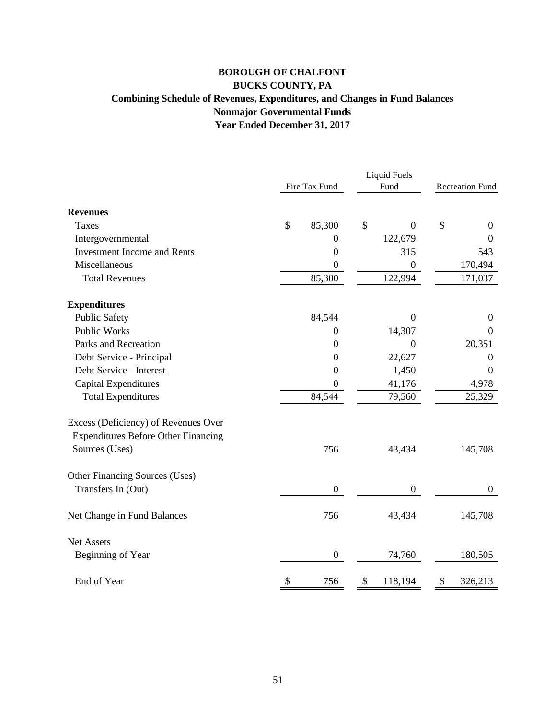# **BOROUGH OF CHALFONT BUCKS COUNTY, PA Combining Schedule of Revenues, Expenditures, and Changes in Fund Balances Nonmajor Governmental Funds Year Ended December 31, 2017**

|                                            |                  | <b>Liquid Fuels</b>  |                        |
|--------------------------------------------|------------------|----------------------|------------------------|
|                                            | Fire Tax Fund    | Fund                 | <b>Recreation Fund</b> |
| <b>Revenues</b>                            |                  |                      |                        |
| <b>Taxes</b>                               | \$<br>85,300     | \$<br>$\overline{0}$ | \$<br>$\overline{0}$   |
| Intergovernmental                          | $\theta$         | 122,679              | $\overline{0}$         |
| <b>Investment Income and Rents</b>         | $\boldsymbol{0}$ | 315                  | 543                    |
| Miscellaneous                              | $\mathbf{0}$     | $\boldsymbol{0}$     | 170,494                |
| <b>Total Revenues</b>                      | 85,300           | 122,994              | 171,037                |
| <b>Expenditures</b>                        |                  |                      |                        |
| <b>Public Safety</b>                       | 84,544           | $\overline{0}$       | $\boldsymbol{0}$       |
| <b>Public Works</b>                        | $\boldsymbol{0}$ | 14,307               | $\boldsymbol{0}$       |
| Parks and Recreation                       | $\boldsymbol{0}$ | $\overline{0}$       | 20,351                 |
| Debt Service - Principal                   | $\boldsymbol{0}$ | 22,627               | $\theta$               |
| Debt Service - Interest                    | $\boldsymbol{0}$ | 1,450                | $\boldsymbol{0}$       |
| Capital Expenditures                       | $\boldsymbol{0}$ | 41,176               | 4,978                  |
| <b>Total Expenditures</b>                  | 84,544           | 79,560               | 25,329                 |
| Excess (Deficiency) of Revenues Over       |                  |                      |                        |
| <b>Expenditures Before Other Financing</b> |                  |                      |                        |
| Sources (Uses)                             | 756              | 43,434               | 145,708                |
| Other Financing Sources (Uses)             |                  |                      |                        |
| Transfers In (Out)                         | $\boldsymbol{0}$ | $\boldsymbol{0}$     | $\boldsymbol{0}$       |
| Net Change in Fund Balances                | 756              | 43,434               | 145,708                |
| <b>Net Assets</b>                          |                  |                      |                        |
| Beginning of Year                          | $\mathbf{0}$     | 74,760               | 180,505                |
| End of Year                                | \$<br>756        | \$<br>118,194        | \$<br>326,213          |